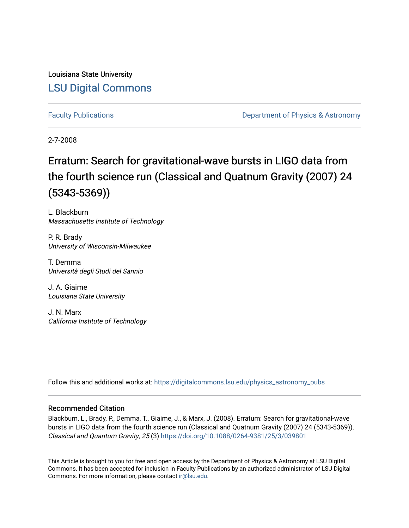Louisiana State University [LSU Digital Commons](https://digitalcommons.lsu.edu/)

[Faculty Publications](https://digitalcommons.lsu.edu/physics_astronomy_pubs) **Exercise 2 and Table 2 and Table 2 and Table 2 and Table 2 and Table 2 and Table 2 and Table 2 and Table 2 and Table 2 and Table 2 and Table 2 and Table 2 and Table 2 and Table 2 and Table 2 and Table** 

2-7-2008

# Erratum: Search for gravitational-wave bursts in LIGO data from the fourth science run (Classical and Quatnum Gravity (2007) 24 (5343-5369))

L. Blackburn Massachusetts Institute of Technology

P. R. Brady University of Wisconsin-Milwaukee

T. Demma Università degli Studi del Sannio

J. A. Giaime Louisiana State University

J. N. Marx California Institute of Technology

Follow this and additional works at: [https://digitalcommons.lsu.edu/physics\\_astronomy\\_pubs](https://digitalcommons.lsu.edu/physics_astronomy_pubs?utm_source=digitalcommons.lsu.edu%2Fphysics_astronomy_pubs%2F1622&utm_medium=PDF&utm_campaign=PDFCoverPages) 

# Recommended Citation

Blackburn, L., Brady, P., Demma, T., Giaime, J., & Marx, J. (2008). Erratum: Search for gravitational-wave bursts in LIGO data from the fourth science run (Classical and Quatnum Gravity (2007) 24 (5343-5369)). Classical and Quantum Gravity, 25 (3) <https://doi.org/10.1088/0264-9381/25/3/039801>

This Article is brought to you for free and open access by the Department of Physics & Astronomy at LSU Digital Commons. It has been accepted for inclusion in Faculty Publications by an authorized administrator of LSU Digital Commons. For more information, please contact [ir@lsu.edu](mailto:ir@lsu.edu).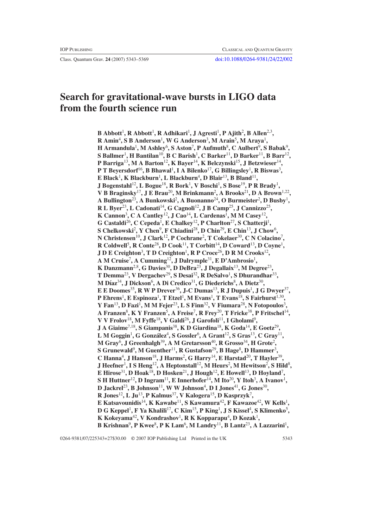Class. Quantum Grav. **24** (2007) 5343–5369 [doi:10.1088/0264-9381/24/22/002](http://dx.doi.org/10.1088/0264-9381/24/22/002)

# **Search for gravitational-wave bursts in LIGO data from the fourth science run**

**B Abbott**<sup>1</sup> **, R Abbott**<sup>1</sup> **, R Adhikari**<sup>1</sup> **, J Agresti**<sup>1</sup> **, P Ajith**<sup>2</sup> **, B Allen**2,3**,**  $\mathbf{R}$  Amin $^4$ ,  $\mathbf{S}$  **B** Anderson $^1$ ,  $\mathbf{W}$  G Anderson $^3$ ,  $\mathbf{M}$  Arain $^5$ ,  $\mathbf{M}$  Araya $^1$ , **H** Armandula<sup>1</sup>, M Ashley<sup>6</sup>, S Aston<sup>7</sup>, P Aufmuth<sup>8</sup>, C Aulbert<sup>9</sup>, S Babak<sup>9</sup>, **S Ballmer**<sup>1</sup> **, H Bantilan**10**, B C Barish**<sup>1</sup> **, C Barker**11**, D Barker**11**, B Barr**12**, P Barriga**13**, M A Barton**12**, K Bayer**14**, K Belczynski**15**, J Betzwieser**14**, P T Beyersdorf**16**, B Bhawal**<sup>1</sup> **, I A Bilenko**17**, G Billingsley**<sup>1</sup> **, R Biswas**<sup>3</sup> **,**  $E$  Black<sup>1</sup>, K Blackburn<sup>1</sup>, L Blackburn<sup>4</sup>, D Blair<sup>13</sup>, B Bland<sup>11</sup>, **J Bogenstahl**12**, L Bogue**18**, R Bork**<sup>1</sup> **, V Boschi**<sup>1</sup> **, S Bose**19**, P R Brady**<sup>1</sup> **, V B Braginsky**17**, J E Brau**20**, M Brinkmann**<sup>2</sup> **, A Brooks**21**, D A Brown**1,22**, A Bullington**23**, A Bunkowski**<sup>2</sup> **, A Buonanno**24**, O Burmeister**<sup>2</sup> **, D Busby**<sup>1</sup> **, R L Byer**<sup>23</sup>**, L Cadonati**<sup>14</sup>**, G Cagnoli**<sup>12</sup>**, J B Camp**<sup>25</sup>**, J Cannizzo**<sup>25</sup>**, K Cannon**<sup>3</sup> **, C A Cantley**12**, J Cao**14**, L Cardenas**<sup>1</sup> **, M M Casey**12**, G Castaldi**26**, C Cepeda**<sup>1</sup> **, E Chalkey**12**, P Charlton**27**, S Chatterji**<sup>1</sup> **,**  $\mathbf{S}$  Chelkowski<sup>2</sup>, Y Chen<sup>9</sup>, F Chiadini<sup>28</sup>, D Chin<sup>29</sup>, E Chin<sup>13</sup>, J Chow<sup>6</sup>, **N Christensen**10**, J Clark**12**, P Cochrane**<sup>2</sup> **, T Cokelaer**30**, C N Colacino**<sup>7</sup> **, R Coldwell**<sup>5</sup> **, R Conte**28**, D Cook**11**, T Corbitt**14**, D Coward**13**, D Coyne**<sup>1</sup> **, J D E Creighton**<sup>3</sup> **, T D Creighton**<sup>1</sup> **, R P Croce**26**, D R M Crooks**12**, A M Cruise**<sup>7</sup> **, A Cumming**12**, J Dalrymple**31**, E D'Ambrosio**<sup>1</sup> **, K Danzmann**2,8**, G Davies**30**, D DeBra**23**, J Degallaix**13**, M Degree**23**, T Demma**23**, V Dergachev**29**, S Desai**32**, R DeSalvo**<sup>1</sup> **, S Dhurandhar**33**,**  $\mathbf{M}$  Díaz $^{34}$ , J Dickson $^{6}$ , A Di Credico $^{31}$ , G Diederichs $^{8}$ , A Dietz $^{30}$ , **E E Doomes**35**, R W P Drever**36**, J-C Dumas**13**, R J Dupuis**<sup>1</sup> **, J G Dwyer**37**, P Ehrens**<sup>1</sup> **, E Espinoza**<sup>1</sup> **, T Etzel**<sup>1</sup> **, M Evans**<sup>1</sup> **, T Evans**18**, S Fairhurst**1,30**, Y Fan**13**, D Fazi**<sup>1</sup> **, M M Fejer**23**, L S Finn**32**, V Fiumara**28**, N Fotopoulos**<sup>3</sup> **, A Franzen**<sup>8</sup> **, K Y Franzen**<sup>5</sup> **, A Freise**<sup>7</sup> **, R Frey**20**, T Fricke**38**, P Fritschel**14**, V V Frolov**18**, M Fyffe**18**, V Galdi**26**, J Garofoli**11**, I Gholami**<sup>9</sup> **, J A Giaime**7,18**, S Giampanis**38**, K D Giardina**18**, K Goda**14**, E Goetz**29**,**  ${\bf L}$   ${\bf M}$  Goggin<sup>1</sup>, G González<sup>4</sup>, S Gossler $^6,$  A Grant<sup>12</sup>, S Gras<sup>13</sup>, C Gray<sup>11</sup>, **M Gray**<sup>6</sup> **, J Greenhalgh**39**, A M Gretarsson**40**, R Grosso**34**, H Grote**<sup>2</sup> **,**  $\mathbf S$  Grunewald<sup>9</sup>, M Guenther<sup>11</sup>, R Gustafson<sup>29</sup>, B Hage<sup>8</sup>, D Hammer<sup>3</sup>, **C Hanna**<sup>4</sup> **, J Hanson**18**, J Harms**<sup>2</sup> **, G Harry**14**, E Harstad**20**, T Hayler**39**, J** Heefner<sup>1</sup>, I S Heng<sup>12</sup>, A Heptonstall<sup>12</sup>, M Heurs<sup>2</sup>, M Hewitson<sup>2</sup>, S Hild<sup>8</sup>, **E Hirose**<sup>31</sup>**, D Hoak**<sup>18</sup>**, D Hosken**<sup>21</sup>**, J Hough**<sup>12</sup>**, E Howell**<sup>13</sup>**, D Hoyland**<sup>7</sup> **, S H Huttner**<sup>12</sup>**, D Ingram**<sup>11</sup>**, E Innerhofer**<sup>14</sup>**, M Ito**<sup>20</sup>**, Y Itoh**<sup>3</sup> **, A Ivanov**<sup>1</sup> **, D Jackrel**<sup>23</sup>**, B Johnson**<sup>11</sup>**, W W Johnson**<sup>4</sup> **, D I Jones**<sup>41</sup>**, G Jones**<sup>30</sup>**, R Jones**<sup>12</sup>**, L Ju**<sup>13</sup>**, P Kalmus**<sup>37</sup>**, V Kalogera**<sup>15</sup>**, D Kasprzyk**<sup>7</sup> **, E Katsavounidis**<sup>14</sup>**, K Kawabe**<sup>11</sup>**, S Kawamura**<sup>42</sup>**, F Kawazoe**<sup>42</sup>**, W Kells**<sup>1</sup> **, D G Keppel**<sup>1</sup> **, F Ya Khalili**<sup>17</sup>**, C Kim**<sup>15</sup>**, P King**<sup>1</sup> **, J S Kissel**<sup>4</sup> **, S Klimenko**<sup>5</sup> **,**  $\mathbf K$  Kokeyama<sup>42</sup>, V Kondrashov<sup>1</sup>, R K Kopparapu<sup>4</sup>, D Kozak<sup>1</sup>, **B Krishnan** $^9$ **, P Kwee** $^8$ **, P K Lam** $^6$ **, M Landry** $^{11}$ **, B Lantz** $^{23}$ **, A Lazzarini** $^1$ **,**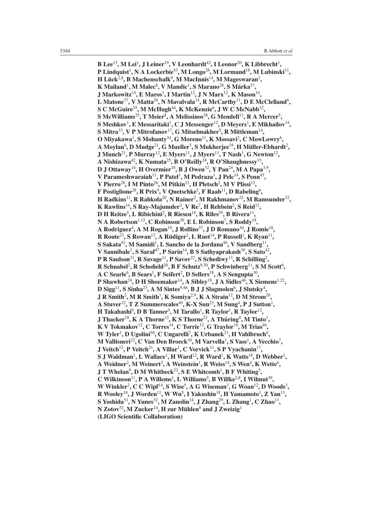**B Lee**13**, M Lei**<sup>1</sup> **, J Leiner**19**, V Leonhardt**42**, I Leonor**20**, K Libbrecht**<sup>1</sup> **, P Lindquist**<sup>1</sup> **, N A Lockerbie**43**, M Longo**28**, M Lormand**18**, M Lubinski**11**, H** Lück<sup>2,8</sup>, B Machenschalk<sup>9</sup>, M MacInnis<sup>14</sup>, M Mageswaran<sup>1</sup>,  $\boldsymbol{\mathrm{K}}$  Mailand<sup>1</sup>, M Malec $^8$ , V Mandic<sup>1</sup>, S Marano<sup>28</sup>, S Márka $^{37}$ , **J Markowitz**14**, E Maros**<sup>1</sup> **, I Martin**12**, J N Marx**12**, K Mason**14**, L Matone**37**, V Matta**28**, N Mavalvala**14**, R McCarthy**11**, D E McClelland**<sup>6</sup> **, S C McGuire**35**, M McHugh**44**, K McKenzie**<sup>6</sup> **, J W C McNabb**32**,**  ${\bf S}$  McWilliams<sup>25</sup>, T Meier $^8$ , A Melissinos $^{38}$ , G Mendell $^{11}$ , R A Mercer $^5$ ,  ${\bf S}$  Meshkov<sup>1</sup>, **E** Messaritaki<sup>1</sup>, **C J** Messenger<sup>12</sup>, **D** Meyers<sup>1</sup>, **E** Mikhailov<sup>14</sup>, **S Mitra**33**, V P Mitrofanov**17**, G Mitselmakher**<sup>5</sup> **, R Mittleman**14**, O Miyakawa**<sup>1</sup> **, S Mohanty**34**, G Moreno**11**, K Mossavi**<sup>2</sup> **, C MowLowry**<sup>6</sup> **,** A Moylan<sup>6</sup>, D Mudge<sup>21</sup>, G Mueller<sup>5</sup>, S Mukherjee<sup>34</sup>, H Müller-Ebhardt<sup>2</sup>, **J Munch**21**, P Murray**12**, E Myers**11**, J Myers**11**, T Nash**<sup>1</sup> **, G Newton**12**, A Nishizawa**42**, K Numata**25**, B O'Reilly**18**, R O'Shaughnessy**15**, D J Ottaway**14**, H Overmier**18**, B J Owen**32**, Y Pan**24**, M A Papa**3,9**, V Parameshwaraiah**11**, P Patel**<sup>1</sup> **, M Pedraza**<sup>1</sup> **, J Pelc**14**, S Penn**45**, V Pierro**26**, I M Pinto**26**, M Pitkin**12**, H Pletsch**<sup>2</sup> **, M V Plissi**12**,**  ${\bf F}$  Postiglione<sup>28</sup>, R Prix<sup>9</sup>, V Quetschke<sup>5</sup>, F Raab<sup>11</sup>, D Rabeling<sup>6</sup>, **H Radkins**11**, R Rahkola**20**, N Rainer**<sup>2</sup> **, M Rakhmanov**32**, M Ramsunder**32**,**  $\mathbf{K}$  Rawlins<sup>14</sup>, S Ray-Majumder<sup>3</sup>, V Re<sup>7</sup>, H Rehbein<sup>2</sup>, S Reid<sup>12</sup>, **D H Reitze**<sup>5</sup> **, L Ribichini**<sup>2</sup> **, R Riesen**18**, K Riles**29**, B Rivera**11**, N A Robertson**1,12**, C Robinson**30**, E L Robinson**<sup>7</sup> **, S Roddy**18**, A Rodriguez**<sup>4</sup> **, A M Rogan**19**, J Rollins**37**, J D Romano**30**, J Romie**18**,**  $R$  Route<sup>23</sup>, S Rowan<sup>12</sup>, A Rüdiger<sup>2</sup>, L Ruet<sup>14</sup>, P Russell<sup>1</sup>, K Ryan<sup>11</sup>,  ${\bf S}$  Sakata $^{42}$ , M Samidi $^1$ , L Sancho de la Jordana $^{46}$ , V Sandberg $^{11}$ , **V Sannibale**<sup>1</sup> **, S Saraf**47**, P Sarin**14**, B S Sathyaprakash**30**, S Sato**42**, P R Saulson**31**, R Savage**11**, P Savov**22**, S Schediwy**13**, R Schilling**<sup>2</sup> **,**  $R$  Schnabel<sup>2</sup>, R Schofield<sup>20</sup>, B F Schutz<sup>9,30</sup>, P Schwinberg<sup>11</sup>, S M Scott<sup>6</sup>, **A C Searle**<sup>6</sup> **, B Sears**<sup>1</sup> **, F Seifert**<sup>2</sup> **, D Sellers**18**, A S Sengupta**30**, P Shawhan**24**, D H Shoemaker**14**, A Sibley**18**, J A Sidles**48**, X Siemens**1,22**,**  $\mathbf{D} \ \mathbf{Sig}^{11}, \mathbf{S} \ \mathbf{Sinha}^{23}, \mathbf{A} \ \mathbf{M} \ \mathbf{Sintes}^{9,46}, \mathbf{B} \ \mathbf{J} \ \mathbf{J} \ \mathbf{Slagmolen}^{6}, \mathbf{J} \ \mathbf{Slutsky}^{4},$ **J R Smith**<sup>2</sup> **, M R Smith**<sup>1</sup> **, K Somiya**2,9**, K A Strain**12**, D M Strom**20**, A Stuver**32**, T Z Summerscales**49**, K-X Sun**23**, M Sung**<sup>4</sup> **, P J Sutton**<sup>1</sup> **, H** Takahashi<sup>9</sup>, D B Tanner<sup>5</sup>, M Tarallo<sup>1</sup>, R Taylor<sup>1</sup>, R Taylor<sup>12</sup>, **J** Thacker<sup>18</sup>, K A Thorne<sup>32</sup>, K S Thorne<sup>22</sup>, A Thüring<sup>8</sup>, M Tinto<sup>1</sup>, **K V Tokmakov**12**, C Torres**34**, C Torrie**12**, G Traylor**18**, M Trias**46**, W Tyler**<sup>1</sup> **, D Ugolini**50**, C Ungarelli**<sup>7</sup> **, K Urbanek**23**, H Vahlbruch**<sup>8</sup> **, M Vallisneri**22**, C Van Den Broeck**30**, M Varvella**<sup>1</sup> **, S Vass**<sup>1</sup> **, A Vecchio**<sup>7</sup> **, J Veitch**12**, P Veitch**21**, A Villar**<sup>1</sup> **, C Vorvick**11**, S P Vyachanin**17**,**  $\mathbf{S}$  **J** Waldman<sup>1</sup>, L Wallace<sup>1</sup>, H Ward<sup>12</sup>, R Ward<sup>1</sup>, K Watts<sup>18</sup>, D Webber<sup>1</sup>, **A Weidner**<sup>2</sup> **, M Weinert**<sup>2</sup> **, A Weinstein**<sup>1</sup> **, R Weiss**14**, S Wen**<sup>4</sup> **, K Wette**<sup>6</sup> **, J** T Whelan<sup>9</sup>, D M Whitbeck<sup>32</sup>, S E Whitcomb<sup>1</sup>, B F Whiting<sup>5</sup>, **C Wilkinson**<sup>11</sup>**, P A Willems**<sup>1</sup> **, L Williams**<sup>5</sup> **, B Willke**2,8**, I Wilmut**<sup>39</sup>**, W Winkler**<sup>2</sup> **, C C Wipf**<sup>14</sup>**, S Wise**<sup>5</sup> **, A G Wiseman**<sup>3</sup> **, G Woan**<sup>12</sup>**, D Woods**<sup>3</sup> **, R Wooley**<sup>18</sup>**, J Worden**<sup>11</sup>**, W Wu**<sup>5</sup> **, I Yakushin**<sup>18</sup>**, H Yamamoto**<sup>1</sup> **, Z Yan**<sup>13</sup>**, S Yoshida**<sup>51</sup>**, N Yunes**<sup>32</sup>**, M Zanolin**<sup>14</sup>**, J Zhang**<sup>29</sup>**, L Zhang**<sup>1</sup> **, C Zhao**<sup>13</sup>**, N Zotov**<sup>52</sup>**, M Zucker**<sup>14</sup>**, H zur Muhlen ¨** <sup>8</sup> **and J Zweizig**<sup>1</sup> **(LIGO Scientific Collaboration)**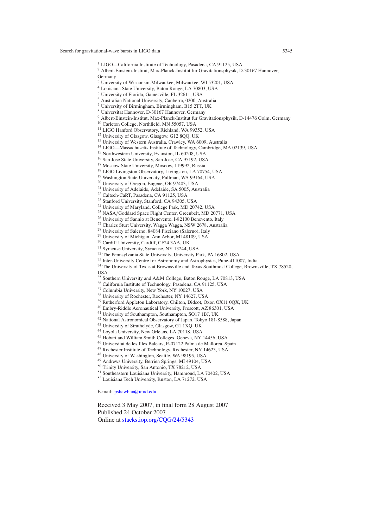- <sup>1</sup> LIGO—California Institute of Technology, Pasadena, CA 91125, USA
- Albert-Einstein-Institut, Max-Planck-Institut für Gravitationsphysik, D-30167 Hannover,

Germany

- University of Wisconsin-Milwaukee, Milwaukee, WI 53201, USA
- Louisiana State University, Baton Rouge, LA 70803, USA
- University of Florida, Gainesville, FL 32611, USA
- Australian National University, Canberra, 0200, Australia
- University of Birmingham, Birmingham, B15 2TT, UK
- <sup>8</sup> Universität Hannover, D-30167 Hannover, Germany
- <sup>9</sup> Albert-Einstein-Institut, Max-Planck-Institut für Gravitationsphysik, D-14476 Golm, Germany
- Carleton College, Northfield, MN 55057, USA
- <sup>11</sup> LIGO Hanford Observatory, Richland, WA 99352, USA
- <sup>12</sup> University of Glasgow, Glasgow, G12 8QQ, UK
- University of Western Australia, Crawley, WA 6009, Australia
- LIGO—Massachusetts Institute of Technology, Cambridge, MA 02139, USA
- Northwestern University, Evanston, IL 60208, USA
- San Jose State University, San Jose, CA 95192, USA
- <sup>17</sup> Moscow State University, Moscow, 119992, Russia
- LIGO Livingston Observatory, Livingston, LA 70754, USA
- Washington State University, Pullman, WA 99164, USA
- University of Oregon, Eugene, OR 97403, USA
- University of Adelaide, Adelaide, SA 5005, Australia
- Caltech-CaRT, Pasadena, CA 91125, USA
- Stanford University, Stanford, CA 94305, USA
- University of Maryland, College Park, MD 20742, USA
- NASA*/*Goddard Space Flight Center, Greenbelt, MD 20771, USA
- University of Sannio at Benevento, I-82100 Benevento, Italy
- Charles Sturt University, Wagga Wagga, NSW 2678, Australia
- University of Salerno, 84084 Fisciano (Salerno), Italy
- University of Michigan, Ann Arbor, MI 48109, USA
- Cardiff University, Cardiff, CF24 3AA, UK
- Syracuse University, Syracuse, NY 13244, USA
- <sup>32</sup> The Pennsylvania State University, University Park, PA 16802, USA
- <sup>33</sup> Inter-University Centre for Astronomy and Astrophysics, Pune-411007, India
- <sup>34</sup> The University of Texas at Brownsville and Texas Southmost College, Brownsville, TX 78520,
- USA
- Southern University and A&M College, Baton Rouge, LA 70813, USA
- California Institute of Technology, Pasadena, CA 91125, USA
- Columbia University, New York, NY 10027, USA
- University of Rochester, Rochester, NY 14627, USA
- Rutherford Appleton Laboratory, Chilton, Didcot, Oxon OX11 0QX, UK
- Embry-Riddle Aeronautical University, Prescott, AZ 86301, USA
- University of Southampton, Southampton, SO17 1BJ, UK
- National Astronomical Observatory of Japan, Tokyo 181-8588, Japan
- University of Strathclyde, Glasgow, G1 1XQ, UK
- Loyola University, New Orleans, LA 70118, USA
- Hobart and William Smith Colleges, Geneva, NY 14456, USA
- Universitat de les Illes Balears, E-07122 Palma de Mallorca, Spain
- Rochester Institute of Technology, Rochester, NY 14623, USA
- University of Washington, Seattle, WA 98195, USA
- Andrews University, Berrien Springs, MI 49104, USA
- Trinity University, San Antonio, TX 78212, USA
- Southeastern Louisiana University, Hammond, LA 70402, USA
- 
- Louisiana Tech University, Ruston, LA 71272, USA

E-mail: [pshawhan@umd.edu](mailto:pshawhan@umd.edu)

Received 3 May 2007, in final form 28 August 2007 Published 24 October 2007 Online at [stacks.iop.org/CQG/24/5343](http://stacks.iop.org/CQG/24/5343)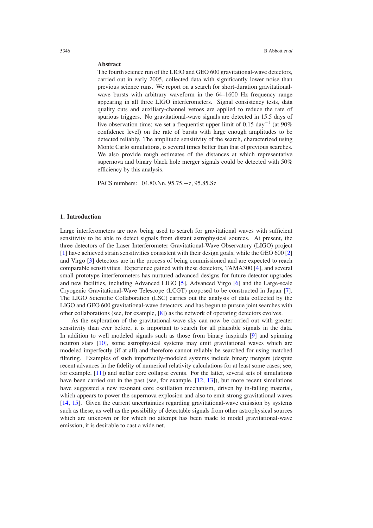# **Abstract**

The fourth science run of the LIGO and GEO 600 gravitational-wave detectors, carried out in early 2005, collected data with significantly lower noise than previous science runs. We report on a search for short-duration gravitationalwave bursts with arbitrary waveform in the 64–1600 Hz frequency range appearing in all three LIGO interferometers. Signal consistency tests, data quality cuts and auxiliary-channel vetoes are applied to reduce the rate of spurious triggers. No gravitational-wave signals are detected in 15.5 days of live observation time; we set a frequentist upper limit of 0.15 day<sup>-1</sup> (at 90% confidence level) on the rate of bursts with large enough amplitudes to be detected reliably. The amplitude sensitivity of the search, characterized using Monte Carlo simulations, is several times better than that of previous searches. We also provide rough estimates of the distances at which representative supernova and binary black hole merger signals could be detected with 50% efficiency by this analysis.

PACS numbers: 04.80.Nn, 95.75.−z, 95.85.Sz

## **1. Introduction**

Large interferometers are now being used to search for gravitational waves with sufficient sensitivity to be able to detect signals from distant astrophysical sources. At present, the three detectors of the Laser Interferometer Gravitational-Wave Observatory (LIGO) project [\[1](#page-26-0)] have achieved strain sensitivities consistent with their design goals, while the GEO 600 [\[2](#page-26-0)] and Virgo [\[3](#page-26-0)] detectors are in the process of being commissioned and are expected to reach comparable sensitivities. Experience gained with these detectors, TAMA300 [\[4](#page-26-0)], and several small prototype interferometers has nurtured advanced designs for future detector upgrades and new facilities, including Advanced LIGO [\[5](#page-26-0)], Advanced Virgo [\[6](#page-26-0)] and the Large-scale Cryogenic Gravitational-Wave Telescope (LCGT) proposed to be constructed in Japan [\[7\]](#page-26-0). The LIGO Scientific Collaboration (LSC) carries out the analysis of data collected by the LIGO and GEO 600 gravitational-wave detectors, and has begun to pursue joint searches with other collaborations (see, for example, [\[8\]](#page-26-0)) as the network of operating detectors evolves.

As the exploration of the gravitational-wave sky can now be carried out with greater sensitivity than ever before, it is important to search for all plausible signals in the data. In addition to well modeled signals such as those from binary inspirals [\[9](#page-26-0)] and spinning neutron stars [\[10](#page-26-0)], some astrophysical systems may emit gravitational waves which are modeled imperfectly (if at all) and therefore cannot reliably be searched for using matched filtering. Examples of such imperfectly-modeled systems include binary mergers (despite recent advances in the fidelity of numerical relativity calculations for at least some cases; see, for example, [\[11\]](#page-26-0)) and stellar core collapse events. For the latter, several sets of simulations have been carried out in the past (see, for example, [\[12](#page-26-0), [13](#page-26-0)]), but more recent simulations have suggested a new resonant core oscillation mechanism, driven by in-falling material, which appears to power the supernova explosion and also to emit strong gravitational waves [\[14](#page-26-0), [15](#page-26-0)]. Given the current uncertainties regarding gravitational-wave emission by systems such as these, as well as the possibility of detectable signals from other astrophysical sources which are unknown or for which no attempt has been made to model gravitational-wave emission, it is desirable to cast a wide net.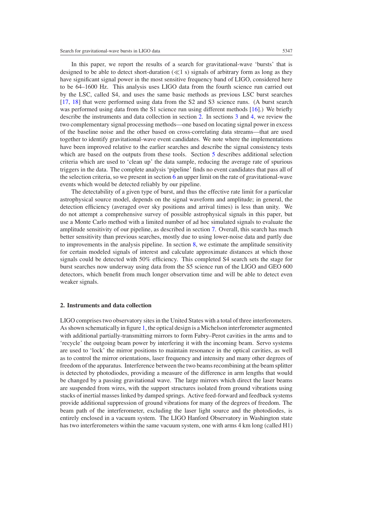In this paper, we report the results of a search for gravitational-wave 'bursts' that is designed to be able to detect short-duration ( $\ll 1$  s) signals of arbitrary form as long as they have significant signal power in the most sensitive frequency band of LIGO, considered here to be 64–1600 Hz. This analysis uses LIGO data from the fourth science run carried out by the LSC, called S4, and uses the same basic methods as previous LSC burst searches [\[17](#page-26-0), [18](#page-26-0)] that were performed using data from the S2 and S3 science runs. (A burst search was performed using data from the S1 science run using different methods [\[16](#page-26-0)].) We briefly describe the instruments and data collection in section 2. In sections [3](#page-7-0) and [4,](#page-9-0) we review the two complementary signal processing methods—one based on locating signal power in excess of the baseline noise and the other based on cross-correlating data streams—that are used together to identify gravitational-wave event candidates. We note where the implementations have been improved relative to the earlier searches and describe the signal consistency tests which are based on the outputs from these tools. Section [5](#page-12-0) describes additional selection criteria which are used to 'clean up' the data sample, reducing the average rate of spurious triggers in the data. The complete analysis 'pipeline' finds no event candidates that pass all of the selection criteria, so we present in section  $6$  an upper limit on the rate of gravitational-wave events which would be detected reliably by our pipeline.

The detectability of a given type of burst, and thus the effective rate limit for a particular astrophysical source model, depends on the signal waveform and amplitude; in general, the detection efficiency (averaged over sky positions and arrival times) is less than unity. We do not attempt a comprehensive survey of possible astrophysical signals in this paper, but use a Monte Carlo method with a limited number of ad hoc simulated signals to evaluate the amplitude sensitivity of our pipeline, as described in section [7.](#page-17-0) Overall, this search has much better sensitivity than previous searches, mostly due to using lower-noise data and partly due to improvements in the analysis pipeline. In section [8,](#page-22-0) we estimate the amplitude sensitivity for certain modeled signals of interest and calculate approximate distances at which those signals could be detected with 50% efficiency. This completed S4 search sets the stage for burst searches now underway using data from the S5 science run of the LIGO and GEO 600 detectors, which benefit from much longer observation time and will be able to detect even weaker signals.

#### **2. Instruments and data collection**

LIGO comprises two observatory sites in the United States with a total of three interferometers. As shown schematically in figure [1,](#page-6-0) the optical design is a Michelson interferometer augmented with additional partially-transmitting mirrors to form Fabry–Perot cavities in the arms and to 'recycle' the outgoing beam power by interfering it with the incoming beam. Servo systems are used to 'lock' the mirror positions to maintain resonance in the optical cavities, as well as to control the mirror orientations, laser frequency and intensity and many other degrees of freedom of the apparatus. Interference between the two beams recombining at the beam splitter is detected by photodiodes, providing a measure of the difference in arm lengths that would be changed by a passing gravitational wave. The large mirrors which direct the laser beams are suspended from wires, with the support structures isolated from ground vibrations using stacks of inertial masses linked by damped springs. Active feed-forward and feedback systems provide additional suppression of ground vibrations for many of the degrees of freedom. The beam path of the interferometer, excluding the laser light source and the photodiodes, is entirely enclosed in a vacuum system. The LIGO Hanford Observatory in Washington state has two interferometers within the same vacuum system, one with arms 4 km long (called H1)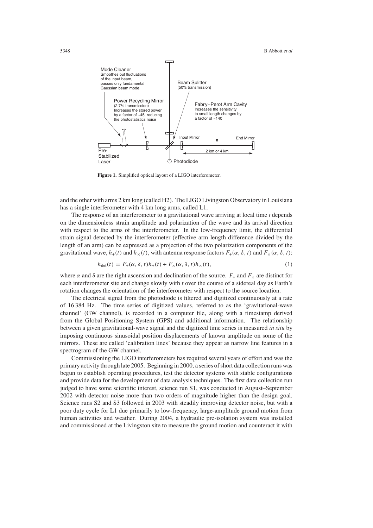<span id="page-6-0"></span>

**Figure 1.** Simplified optical layout of a LIGO interferometer.

and the other with arms 2 km long (called H2). The LIGO Livingston Observatory in Louisiana has a single interferometer with 4 km long arms, called L1.

The response of an interferometer to a gravitational wave arriving at local time *t* depends on the dimensionless strain amplitude and polarization of the wave and its arrival direction with respect to the arms of the interferometer. In the low-frequency limit, the differential strain signal detected by the interferometer (effective arm length difference divided by the length of an arm) can be expressed as a projection of the two polarization components of the gravitational wave,  $h_+(t)$  and  $h_\times(t)$ , with antenna response factors  $F_+(\alpha, \delta, t)$  and  $F_\times(\alpha, \delta, t)$ :

$$
h_{\det}(t) = F_{+}(\alpha, \delta, t)h_{+}(t) + F_{\times}(\alpha, \delta, t)h_{\times}(t),
$$
\n(1)

where  $\alpha$  and  $\delta$  are the right ascension and declination of the source.  $F_{+}$  and  $F_{\times}$  are distinct for each interferometer site and change slowly with *t* over the course of a sidereal day as Earth's rotation changes the orientation of the interferometer with respect to the source location.

The electrical signal from the photodiode is filtered and digitized continuously at a rate of 16 384 Hz. The time series of digitized values, referred to as the 'gravitational-wave channel' (GW channel), is recorded in a computer file, along with a timestamp derived from the Global Positioning System (GPS) and additional information. The relationship between a given gravitational-wave signal and the digitized time series is measured *in situ* by imposing continuous sinusoidal position displacements of known amplitude on some of the mirrors. These are called 'calibration lines' because they appear as narrow line features in a spectrogram of the GW channel.

Commissioning the LIGO interferometers has required several years of effort and was the primary activity through late 2005. Beginning in 2000, a series of short data collection runs was begun to establish operating procedures, test the detector systems with stable configurations and provide data for the development of data analysis techniques. The first data collection run judged to have some scientific interest, science run S1, was conducted in August–September 2002 with detector noise more than two orders of magnitude higher than the design goal. Science runs S2 and S3 followed in 2003 with steadily improving detector noise, but with a poor duty cycle for L1 due primarily to low-frequency, large-amplitude ground motion from human activities and weather. During 2004, a hydraulic pre-isolation system was installed and commissioned at the Livingston site to measure the ground motion and counteract it with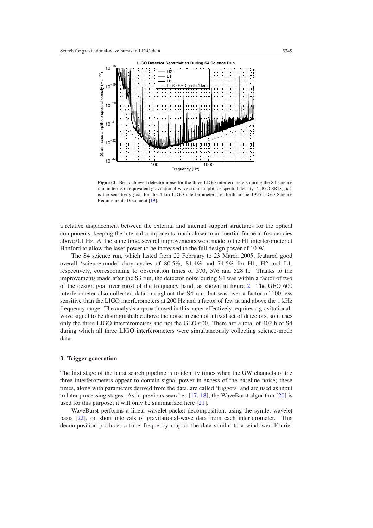<span id="page-7-0"></span>

Figure 2. Best achieved detector noise for the three LIGO interferometers during the S4 science run, in terms of equivalent gravitational-wave strain amplitude spectral density. 'LIGO SRD goal' is the sensitivity goal for the 4-km LIGO interferometers set forth in the 1995 LIGO Science Requirements Document [\[19\]](#page-26-0).

a relative displacement between the external and internal support structures for the optical components, keeping the internal components much closer to an inertial frame at frequencies above 0*.*1 Hz. At the same time, several improvements were made to the H1 interferometer at Hanford to allow the laser power to be increased to the full design power of 10 W.

The S4 science run, which lasted from 22 February to 23 March 2005, featured good overall 'science-mode' duty cycles of 80*.*5%, 81*.*4% and 74*.*5% for H1, H2 and L1, respectively, corresponding to observation times of 570, 576 and 528 h. Thanks to the improvements made after the S3 run, the detector noise during S4 was within a factor of two of the design goal over most of the frequency band, as shown in figure 2. The GEO 600 interferometer also collected data throughout the S4 run, but was over a factor of 100 less sensitive than the LIGO interferometers at 200 Hz and a factor of few at and above the 1 kHz frequency range. The analysis approach used in this paper effectively requires a gravitationalwave signal to be distinguishable above the noise in each of a fixed set of detectors, so it uses only the three LIGO interferometers and not the GEO 600. There are a total of 402 h of S4 during which all three LIGO interferometers were simultaneously collecting science-mode data.

#### **3. Trigger generation**

The first stage of the burst search pipeline is to identify times when the GW channels of the three interferometers appear to contain signal power in excess of the baseline noise; these times, along with parameters derived from the data, are called 'triggers' and are used as input to later processing stages. As in previous searches [\[17](#page-26-0), [18](#page-26-0)], the WaveBurst algorithm [\[20\]](#page-26-0) is used for this purpose; it will only be summarized here [\[21\]](#page-27-0).

WaveBurst performs a linear wavelet packet decomposition, using the symlet wavelet basis [\[22\]](#page-27-0), on short intervals of gravitational-wave data from each interferometer. This decomposition produces a time–frequency map of the data similar to a windowed Fourier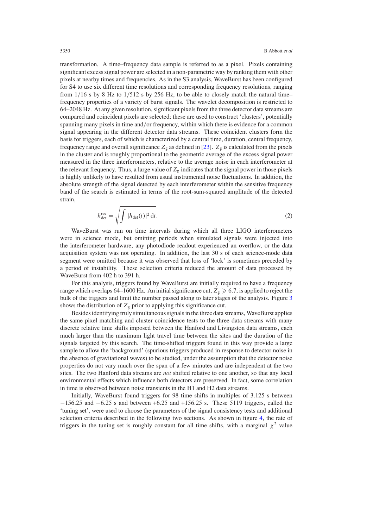<span id="page-8-0"></span>transformation. A time–frequency data sample is referred to as a pixel. Pixels containing significant excess signal power are selected in a non-parametric way by ranking them with other pixels at nearby times and frequencies. As in the S3 analysis, WaveBurst has been configured for S4 to use six different time resolutions and corresponding frequency resolutions, ranging from 1*/*16 s by 8 Hz to 1*/*512 s by 256 Hz, to be able to closely match the natural time– frequency properties of a variety of burst signals. The wavelet decomposition is restricted to 64–2048 Hz. At any given resolution, significant pixels from the three detector data streams are compared and coincident pixels are selected; these are used to construct 'clusters', potentially spanning many pixels in time and*/*or frequency, within which there is evidence for a common signal appearing in the different detector data streams. These coincident clusters form the basis for triggers, each of which is characterized by a central time, duration, central frequency, frequency range and overall significance  $Z_g$  as defined in [\[23](#page-27-0)].  $Z_g$  is calculated from the pixels in the cluster and is roughly proportional to the geometric average of the excess signal power measured in the three interferometers, relative to the average noise in each interferometer at the relevant frequency. Thus, a large value of  $Z_g$  indicates that the signal power in those pixels is highly unlikely to have resulted from usual instrumental noise fluctuations. In addition, the absolute strength of the signal detected by each interferometer within the sensitive frequency band of the search is estimated in terms of the root-sum-squared amplitude of the detected strain,

$$
h_{\text{det}}^{\text{rss}} = \sqrt{\int |h_{\text{det}}(t)|^2 dt}.
$$
 (2)

WaveBurst was run on time intervals during which all three LIGO interferometers were in science mode, but omitting periods when simulated signals were injected into the interferometer hardware, any photodiode readout experienced an overflow, or the data acquisition system was not operating. In addition, the last 30 s of each science-mode data segment were omitted because it was observed that loss of 'lock' is sometimes preceded by a period of instability. These selection criteria reduced the amount of data processed by WaveBurst from 402 h to 391 h.

For this analysis, triggers found by WaveBurst are initially required to have a frequency range which overlaps 64–1600 Hz. An initial significance cut,  $Z_g \ge 6.7$ , is applied to reject the bulk of the triggers and limit the number passed along to later stages of the analysis. Figure [3](#page-9-0) shows the distribution of  $Z_{\alpha}$  prior to applying this significance cut.

Besides identifying truly simultaneous signals in the three data streams, WaveBurst applies the same pixel matching and cluster coincidence tests to the three data streams with many discrete relative time shifts imposed between the Hanford and Livingston data streams, each much larger than the maximum light travel time between the sites and the duration of the signals targeted by this search. The time-shifted triggers found in this way provide a large sample to allow the 'background' (spurious triggers produced in response to detector noise in the absence of gravitational waves) to be studied, under the assumption that the detector noise properties do not vary much over the span of a few minutes and are independent at the two sites. The two Hanford data streams are *not* shifted relative to one another, so that any local environmental effects which influence both detectors are preserved. In fact, some correlation in time is observed between noise transients in the H1 and H2 data streams.

Initially, WaveBurst found triggers for 98 time shifts in multiples of 3*.*125 s between −156*.*25 and −6*.*25 s and between +6*.*25 and +156*.*25 s. These 5119 triggers, called the 'tuning set', were used to choose the parameters of the signal consistency tests and additional selection criteria described in the following two sections. As shown in figure [4,](#page-9-0) the rate of triggers in the tuning set is roughly constant for all time shifts, with a marginal  $\chi^2$  value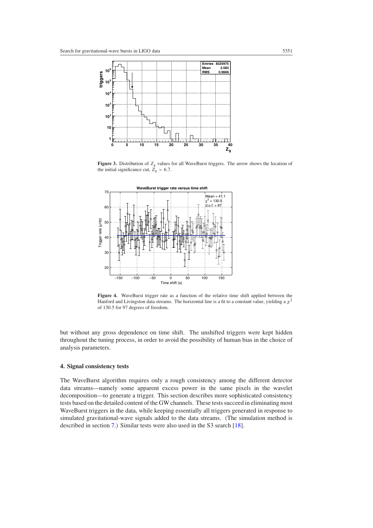<span id="page-9-0"></span>

**Figure 3.** Distribution of *Z*<sup>g</sup> values for all WaveBurst triggers. The arrow shows the location of the initial significance cut,  $\bar{Z_g} > 6.7$ .



**Figure 4.** WaveBurst trigger rate as a function of the relative time shift applied between the Hanford and Livingston data streams. The horizontal line is a fit to a constant value, yielding a  $\chi^2$ of 130*.*5 for 97 degrees of freedom.

but without any gross dependence on time shift. The unshifted triggers were kept hidden throughout the tuning process, in order to avoid the possibility of human bias in the choice of analysis parameters.

# **4. Signal consistency tests**

The WaveBurst algorithm requires only a rough consistency among the different detector data streams—namely some apparent excess power in the same pixels in the wavelet decomposition—to generate a trigger. This section describes more sophisticated consistency tests based on the detailed content of the GW channels. These tests succeed in eliminating most WaveBurst triggers in the data, while keeping essentially all triggers generated in response to simulated gravitational-wave signals added to the data streams. (The simulation method is described in section [7.](#page-17-0)) Similar tests were also used in the S3 search [\[18](#page-26-0)].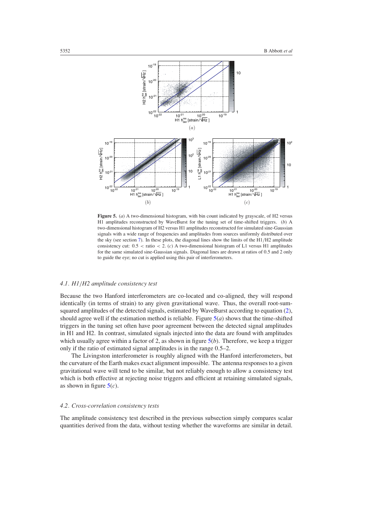

Figure 5. (*a*) A two-dimensional histogram, with bin count indicated by grayscale, of H2 versus H1 amplitudes reconstructed by WaveBurst for the tuning set of time-shifted triggers. (*b*) A two-dimensional histogram of H2 versus H1 amplitudes reconstructed for simulated sine-Gaussian signals with a wide range of frequencies and amplitudes from sources uniformly distributed over the sky (see section [7\)](#page-17-0). In these plots, the diagonal lines show the limits of the H1*/*H2 amplitude consistency cut: 0*.*5 *<* ratio *<* 2*.* (*c*) A two-dimensional histogram of L1 versus H1 amplitudes for the same simulated sine-Gaussian signals. Diagonal lines are drawn at ratios of 0*.*5 and 2 only to guide the eye; no cut is applied using this pair of interferometers.

#### *4.1. H1/H2 amplitude consistency test*

Because the two Hanford interferometers are co-located and co-aligned, they will respond identically (in terms of strain) to any given gravitational wave. Thus, the overall root-sumsquared amplitudes of the detected signals, estimated by WaveBurst according to equation [\(2\)](#page-8-0), should agree well if the estimation method is reliable. Figure 5(*a*) shows that the time-shifted triggers in the tuning set often have poor agreement between the detected signal amplitudes in H1 and H2. In contrast, simulated signals injected into the data are found with amplitudes which usually agree within a factor of 2, as shown in figure 5(*b*). Therefore, we keep a trigger only if the ratio of estimated signal amplitudes is in the range 0*.*5–2.

The Livingston interferometer is roughly aligned with the Hanford interferometers, but the curvature of the Earth makes exact alignment impossible. The antenna responses to a given gravitational wave will tend to be similar, but not reliably enough to allow a consistency test which is both effective at rejecting noise triggers and efficient at retaining simulated signals, as shown in figure 5(*c*).

#### *4.2. Cross-correlation consistency tests*

The amplitude consistency test described in the previous subsection simply compares scalar quantities derived from the data, without testing whether the waveforms are similar in detail.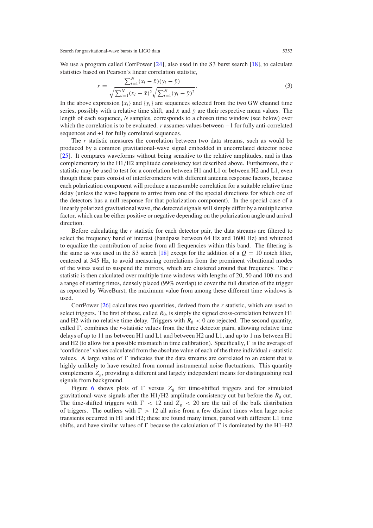We use a program called CorrPower [\[24\]](#page-27-0), also used in the S3 burst search [\[18\]](#page-26-0), to calculate statistics based on Pearson's linear correlation statistic,

$$
r = \frac{\sum_{i=1}^{N} (x_i - \bar{x})(y_i - \bar{y})}{\sqrt{\sum_{i=1}^{N} (x_i - \bar{x})^2} \sqrt{\sum_{i=1}^{N} (y_i - \bar{y})^2}}.
$$
\n(3)

In the above expression  $\{x_i\}$  and  $\{y_i\}$  are sequences selected from the two GW channel time series, possibly with a relative time shift, and  $\bar{x}$  and  $\bar{y}$  are their respective mean values. The length of each sequence, *N* samples, corresponds to a chosen time window (see below) over which the correlation is to be evaluated. *r* assumes values between −1 for fully anti-correlated sequences and +1 for fully correlated sequences.

The *r* statistic measures the correlation between two data streams, such as would be produced by a common gravitational-wave signal embedded in uncorrelated detector noise [\[25](#page-27-0)]. It compares waveforms without being sensitive to the relative amplitudes, and is thus complementary to the H1*/*H2 amplitude consistency test described above. Furthermore, the *r* statistic may be used to test for a correlation between H1 and L1 or between H2 and L1, even though these pairs consist of interferometers with different antenna response factors, because each polarization component will produce a measurable correlation for a suitable relative time delay (unless the wave happens to arrive from one of the special directions for which one of the detectors has a null response for that polarization component). In the special case of a linearly polarized gravitational wave, the detected signals will simply differ by a multiplicative factor, which can be either positive or negative depending on the polarization angle and arrival direction.

Before calculating the *r* statistic for each detector pair, the data streams are filtered to select the frequency band of interest (bandpass between 64 Hz and 1600 Hz) and whitened to equalize the contribution of noise from all frequencies within this band. The filtering is the same as was used in the S3 search [\[18\]](#page-26-0) except for the addition of a  $Q = 10$  notch filter, centered at 345 Hz, to avoid measuring correlations from the prominent vibrational modes of the wires used to suspend the mirrors, which are clustered around that frequency. The *r* statistic is then calculated over multiple time windows with lengths of 20, 50 and 100 ms and a range of starting times, densely placed (99% overlap) to cover the full duration of the trigger as reported by WaveBurst; the maximum value from among these different time windows is used.

CorrPower [\[26](#page-27-0)] calculates two quantities, derived from the *r* statistic, which are used to select triggers. The first of these, called  $R_0$ , is simply the signed cross-correlation between H1 and H2 with no relative time delay. Triggers with  $R_0 < 0$  are rejected. The second quantity, called  $\Gamma$ , combines the *r*-statistic values from the three detector pairs, allowing relative time delays of up to 11 ms between H1 and L1 and between H2 and L1, and up to 1 ms between H1 and H2 (to allow for a possible mismatch in time calibration). Specifically,  $\Gamma$  is the average of 'confidence' values calculated from the absolute value of each of the three individual*r*-statistic values. A large value of  $\Gamma$  indicates that the data streams are correlated to an extent that is highly unlikely to have resulted from normal instrumental noise fluctuations. This quantity complements *Z*g, providing a different and largely independent means for distinguishing real signals from background.

Figure [6](#page-12-0) shows plots of  $\Gamma$  versus  $Z_g$  for time-shifted triggers and for simulated gravitational-wave signals after the H1/H2 amplitude consistency cut but before the  $R_0$  cut. The time-shifted triggers with  $\Gamma$  < 12 and  $Z_g$  < 20 are the tail of the bulk distribution of triggers. The outliers with  $\Gamma > 12$  all arise from a few distinct times when large noise transients occurred in H1 and H2; these are found many times, paired with different L1 time shifts, and have similar values of  $\Gamma$  because the calculation of  $\Gamma$  is dominated by the H1–H2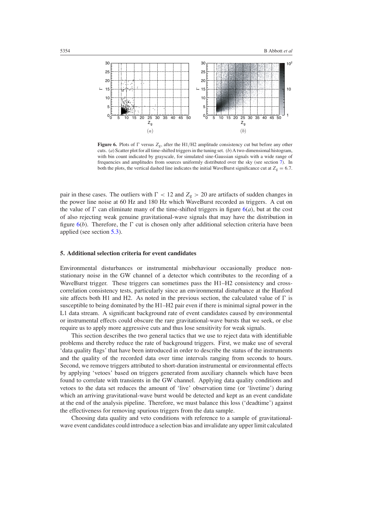<span id="page-12-0"></span>

**Figure 6.** Plots of  $\Gamma$  versus  $Z_g$ , after the H1/H2 amplitude consistency cut but before any other cuts. (*a*) Scatter plot for all time-shifted triggers in the tuning set. (*b*) A two-dimensional histogram, with bin count indicated by grayscale, for simulated sine-Gaussian signals with a wide range of frequencies and amplitudes from sources uniformly distributed over the sky (see section [7\)](#page-17-0). In both the plots, the vertical dashed line indicates the initial WaveBurst significance cut at  $Z_g = 6.7$ .

pair in these cases. The outliers with  $\Gamma$  < 12 and  $Z_g$  > 20 are artifacts of sudden changes in the power line noise at 60 Hz and 180 Hz which WaveBurst recorded as triggers. A cut on the value of  $\Gamma$  can eliminate many of the time-shifted triggers in figure  $6(a)$ , but at the cost of also rejecting weak genuine gravitational-wave signals that may have the distribution in figure  $6(b)$ . Therefore, the  $\Gamma$  cut is chosen only after additional selection criteria have been applied (see section [5.3\)](#page-15-0).

#### **5. Additional selection criteria for event candidates**

Environmental disturbances or instrumental misbehaviour occasionally produce nonstationary noise in the GW channel of a detector which contributes to the recording of a WaveBurst trigger. These triggers can sometimes pass the H1–H2 consistency and crosscorrelation consistency tests, particularly since an environmental disturbance at the Hanford site affects both H1 and H2. As noted in the previous section, the calculated value of  $\Gamma$  is susceptible to being dominated by the H1–H2 pair even if there is minimal signal power in the L1 data stream. A significant background rate of event candidates caused by environmental or instrumental effects could obscure the rare gravitational-wave bursts that we seek, or else require us to apply more aggressive cuts and thus lose sensitivity for weak signals.

This section describes the two general tactics that we use to reject data with identifiable problems and thereby reduce the rate of background triggers. First, we make use of several 'data quality flags' that have been introduced in order to describe the status of the instruments and the quality of the recorded data over time intervals ranging from seconds to hours. Second, we remove triggers attributed to short-duration instrumental or environmental effects by applying 'vetoes' based on triggers generated from auxiliary channels which have been found to correlate with transients in the GW channel. Applying data quality conditions and vetoes to the data set reduces the amount of 'live' observation time (or 'livetime') during which an arriving gravitational-wave burst would be detected and kept as an event candidate at the end of the analysis pipeline. Therefore, we must balance this loss ('deadtime') against the effectiveness for removing spurious triggers from the data sample.

Choosing data quality and veto conditions with reference to a sample of gravitationalwave event candidates could introduce a selection bias and invalidate any upper limit calculated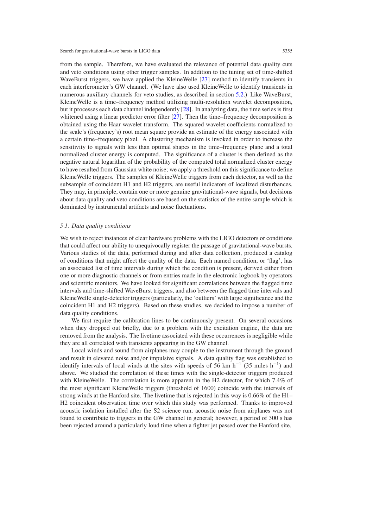<span id="page-13-0"></span>from the sample. Therefore, we have evaluated the relevance of potential data quality cuts and veto conditions using other trigger samples. In addition to the tuning set of time-shifted WaveBurst triggers, we have applied the KleineWelle [\[27](#page-27-0)] method to identify transients in each interferometer's GW channel. (We have also used KleineWelle to identify transients in numerous auxiliary channels for veto studies, as described in section [5.2.](#page-14-0)) Like WaveBurst, KleineWelle is a time–frequency method utilizing multi-resolution wavelet decomposition, but it processes each data channel independently [\[28](#page-27-0)]. In analyzing data, the time series is first whitened using a linear predictor error filter [\[27](#page-27-0)]. Then the time–frequency decomposition is obtained using the Haar wavelet transform. The squared wavelet coefficients normalized to the scale's (frequency's) root mean square provide an estimate of the energy associated with a certain time–frequency pixel. A clustering mechanism is invoked in order to increase the sensitivity to signals with less than optimal shapes in the time–frequency plane and a total normalized cluster energy is computed. The significance of a cluster is then defined as the negative natural logarithm of the probability of the computed total normalized cluster energy to have resulted from Gaussian white noise; we apply a threshold on this significance to define KleineWelle triggers. The samples of KleineWelle triggers from each detector, as well as the subsample of coincident H1 and H2 triggers, are useful indicators of localized disturbances. They may, in principle, contain one or more genuine gravitational-wave signals, but decisions about data quality and veto conditions are based on the statistics of the entire sample which is dominated by instrumental artifacts and noise fluctuations.

#### *5.1. Data quality conditions*

We wish to reject instances of clear hardware problems with the LIGO detectors or conditions that could affect our ability to unequivocally register the passage of gravitational-wave bursts. Various studies of the data, performed during and after data collection, produced a catalog of conditions that might affect the quality of the data. Each named condition, or 'flag', has an associated list of time intervals during which the condition is present, derived either from one or more diagnostic channels or from entries made in the electronic logbook by operators and scientific monitors. We have looked for significant correlations between the flagged time intervals and time-shifted WaveBurst triggers, and also between the flagged time intervals and KleineWelle single-detector triggers (particularly, the 'outliers' with large significance and the coincident H1 and H2 triggers). Based on these studies, we decided to impose a number of data quality conditions.

We first require the calibration lines to be continuously present. On several occasions when they dropped out briefly, due to a problem with the excitation engine, the data are removed from the analysis. The livetime associated with these occurrences is negligible while they are all correlated with transients appearing in the GW channel.

Local winds and sound from airplanes may couple to the instrument through the ground and result in elevated noise and*/*or impulsive signals. A data quality flag was established to identify intervals of local winds at the sites with speeds of 56 km h<sup>-1</sup> (35 miles h<sup>-1</sup>) and above. We studied the correlation of these times with the single-detector triggers produced with KleineWelle. The correlation is more apparent in the H2 detector, for which 7.4% of the most significant KleineWelle triggers (threshold of 1600) coincide with the intervals of strong winds at the Hanford site. The livetime that is rejected in this way is 0.66% of the H1– H2 coincident observation time over which this study was performed. Thanks to improved acoustic isolation installed after the S2 science run, acoustic noise from airplanes was not found to contribute to triggers in the GW channel in general; however, a period of 300 s has been rejected around a particularly loud time when a fighter jet passed over the Hanford site.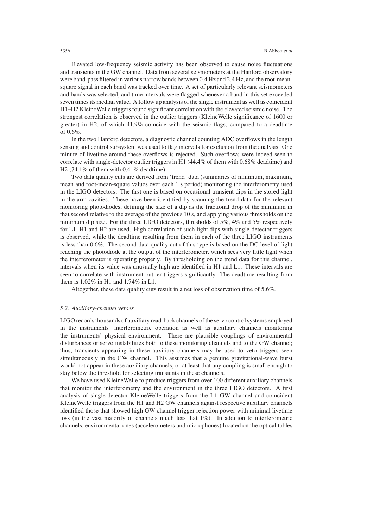<span id="page-14-0"></span>Elevated low-frequency seismic activity has been observed to cause noise fluctuations and transients in the GW channel. Data from several seismometers at the Hanford observatory were band-pass filtered in various narrow bands between 0*.*4 Hz and 2*.*4 Hz, and the root-meansquare signal in each band was tracked over time. A set of particularly relevant seismometers and bands was selected, and time intervals were flagged whenever a band in this set exceeded seven times its median value. A follow up analysis of the single instrument as well as coincident H1–H2 KleineWelle triggers found significant correlation with the elevated seismic noise. The strongest correlation is observed in the outlier triggers (KleineWelle significance of 1600 or greater) in H2, of which 41.9% coincide with the seismic flags, compared to a deadtime of 0.6%.

In the two Hanford detectors, a diagnostic channel counting ADC overflows in the length sensing and control subsystem was used to flag intervals for exclusion from the analysis. One minute of livetime around these overflows is rejected. Such overflows were indeed seen to correlate with single-detector outlier triggers in H1 (44.4% of them with 0.68% deadtime) and H2 (74.1% of them with 0.41% deadtime).

Two data quality cuts are derived from 'trend' data (summaries of minimum, maximum, mean and root-mean-square values over each 1 s period) monitoring the interferometry used in the LIGO detectors. The first one is based on occasional transient dips in the stored light in the arm cavities. These have been identified by scanning the trend data for the relevant monitoring photodiodes, defining the size of a dip as the fractional drop of the minimum in that second relative to the average of the previous 10 s, and applying various thresholds on the minimum dip size. For the three LIGO detectors, thresholds of  $5\%$ ,  $4\%$  and  $5\%$  respectively for L1, H1 and H2 are used. High correlation of such light dips with single-detector triggers is observed, while the deadtime resulting from them in each of the three LIGO instruments is less than 0.6%. The second data quality cut of this type is based on the DC level of light reaching the photodiode at the output of the interferometer, which sees very little light when the interferometer is operating properly. By thresholding on the trend data for this channel, intervals when its value was unusually high are identified in H1 and L1. These intervals are seen to correlate with instrument outlier triggers significantly. The deadtime resulting from them is 1.02% in H1 and 1.74% in L1.

Altogether, these data quality cuts result in a net loss of observation time of 5.6%.

#### *5.2. Auxiliary-channel vetoes*

LIGO records thousands of auxiliary read-back channels of the servo control systems employed in the instruments' interferometric operation as well as auxiliary channels monitoring the instruments' physical environment. There are plausible couplings of environmental disturbances or servo instabilities both to these monitoring channels and to the GW channel; thus, transients appearing in these auxiliary channels may be used to veto triggers seen simultaneously in the GW channel. This assumes that a genuine gravitational-wave burst would not appear in these auxiliary channels, or at least that any coupling is small enough to stay below the threshold for selecting transients in these channels.

We have used KleineWelle to produce triggers from over 100 different auxiliary channels that monitor the interferometry and the environment in the three LIGO detectors. A first analysis of single-detector KleineWelle triggers from the L1 GW channel and coincident KleineWelle triggers from the H1 and H2 GW channels against respective auxiliary channels identified those that showed high GW channel trigger rejection power with minimal livetime loss (in the vast majority of channels much less that 1%). In addition to interferometric channels, environmental ones (accelerometers and microphones) located on the optical tables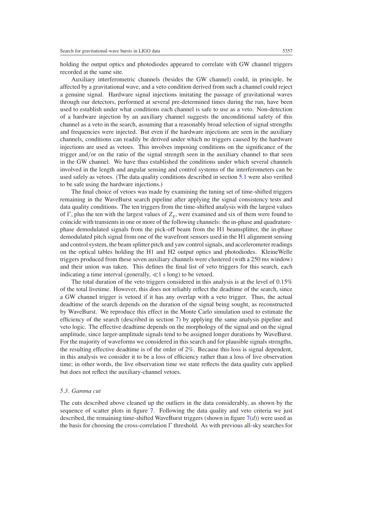<span id="page-15-0"></span>holding the output optics and photodiodes appeared to correlate with GW channel triggers recorded at the same site.

Auxiliary interferometric channels (besides the GW channel) could, in principle, be affected by a gravitational wave, and a veto condition derived from such a channel could reject a genuine signal. Hardware signal injections imitating the passage of gravitational waves through our detectors, performed at several pre-determined times during the run, have been used to establish under what conditions each channel is safe to use as a veto. Non-detection of a hardware injection by an auxiliary channel suggests the unconditional safety of this channel as a veto in the search, assuming that a reasonably broad selection of signal strengths and frequencies were injected. But even if the hardware injections are seen in the auxiliary channels, conditions can readily be derived under which no triggers caused by the hardware injections are used as vetoes. This involves imposing conditions on the significance of the trigger and/or on the ratio of the signal strength seen in the auxiliary channel to that seen in the GW channel. We have thus established the conditions under which several channels involved in the length and angular sensing and control systems of the interferometers can be used safely as vetoes. (The data quality conditions described in section [5.1](#page-13-0) were also verified to be safe using the hardware injections.)

The final choice of vetoes was made by examining the tuning set of time-shifted triggers remaining in the WaveBurst search pipeline after applying the signal consistency tests and data quality conditions. The ten triggers from the time-shifted analysis with the largest values of  $\Gamma$ , plus the ten with the largest values of  $Z_g$ , were examined and six of them were found to coincide with transients in one or more of the following channels: the in-phase and quadraturephase demodulated signals from the pick-off beam from the H1 beamsplitter, the in-phase demodulated pitch signal from one of the wavefront sensors used in the H1 alignment sensing and control system, the beam splitter pitch and yaw control signals, and accelerometer readings on the optical tables holding the H1 and H2 output optics and photodiodes. KleineWelle triggers produced from these seven auxiliary channels were clustered (with a 250 ms window) and their union was taken. This defines the final list of veto triggers for this search, each indicating a time interval (generally,  $\ll 1$  s long) to be vetoed.

The total duration of the veto triggers considered in this analysis is at the level of 0.15% of the total livetime. However, this does not reliably reflect the deadtime of the search, since a GW channel trigger is vetoed if it has any overlap with a veto trigger. Thus, the actual deadtime of the search depends on the duration of the signal being sought, as reconstructed by WaveBurst. We reproduce this effect in the Monte Carlo simulation used to estimate the efficiency of the search (described in section [7\)](#page-17-0) by applying the same analysis pipeline and veto logic. The effective deadtime depends on the morphology of the signal and on the signal amplitude, since larger-amplitude signals tend to be assigned longer durations by WaveBurst. For the majority of waveforms we considered in this search and for plausible signals strengths, the resulting effective deadtime is of the order of 2%. Because this loss is signal dependent, in this analysis we consider it to be a loss of efficiency rather than a loss of live observation time; in other words, the live observation time we state reflects the data quality cuts applied but does not reflect the auxiliary-channel vetoes.

#### *5.3. Gamma cut*

The cuts described above cleaned up the outliers in the data considerably, as shown by the sequence of scatter plots in figure [7.](#page-16-0) Following the data quality and veto criteria we just described, the remaining time-shifted WaveBurst triggers (shown in figure [7\(](#page-16-0)*d*)) were used as the basis for choosing the cross-correlation  $\Gamma$  threshold. As with previous all-sky searches for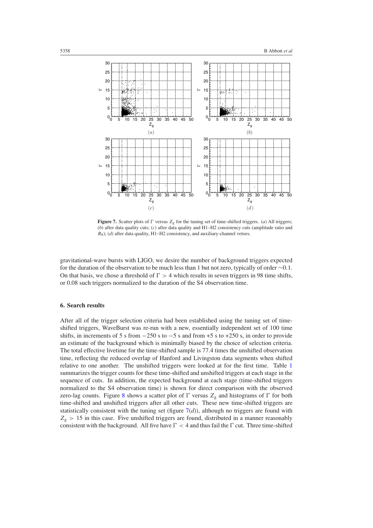<span id="page-16-0"></span>

**Figure 7.** Scatter plots of  $\Gamma$  versus  $Z_g$  for the tuning set of time-shifted triggers. (*a*) All triggers; (*b*) after data quality cuts; (*c*) after data quality and H1–H2 consistency cuts (amplitude ratio and *R*<sub>0</sub>); (*d*) after data quality, H1–H2 consistency, and auxiliary-channel vetoes.

gravitational-wave bursts with LIGO, we desire the number of background triggers expected for the duration of the observation to be much less than 1 but not zero, typically of order ∼0*.*1. On that basis, we chose a threshold of  $\Gamma > 4$  which results in seven triggers in 98 time shifts, or 0.08 such triggers normalized to the duration of the S4 observation time.

#### **6. Search results**

After all of the trigger selection criteria had been established using the tuning set of timeshifted triggers, WaveBurst was re-run with a new, essentially independent set of 100 time shifts, in increments of 5 s from  $-250$  s to  $-5$  s and from  $+5$  s to  $+250$  s, in order to provide an estimate of the background which is minimally biased by the choice of selection criteria. The total effective livetime for the time-shifted sample is 77*.*4 times the unshifted observation time, reflecting the reduced overlap of Hanford and Livingston data segments when shifted relative to one another. The unshifted triggers were looked at for the first time. Table [1](#page-17-0) summarizes the trigger counts for these time-shifted and unshifted triggers at each stage in the sequence of cuts. In addition, the expected background at each stage (time-shifted triggers normalized to the S4 observation time) is shown for direct comparison with the observed zero-lag counts. Figure [8](#page-17-0) shows a scatter plot of  $\Gamma$  versus  $Z_g$  and histograms of  $\Gamma$  for both time-shifted and unshifted triggers after all other cuts. These new time-shifted triggers are statistically consistent with the tuning set (figure  $7(d)$ ), although no triggers are found with  $Z_g$  > 15 in this case. Five unshifted triggers are found, distributed in a manner reasonably consistent with the background. All five have  $\Gamma < 4$  and thus fail the  $\Gamma$  cut. Three time-shifted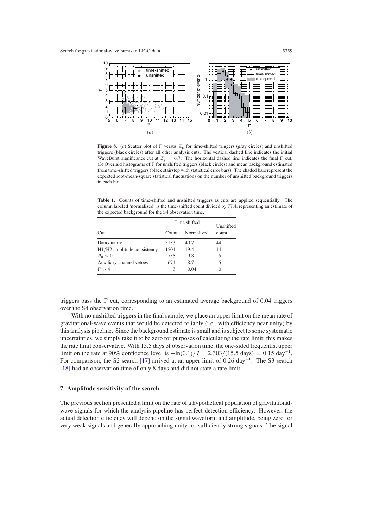<span id="page-17-0"></span>

**Figure 8.** (*a*) Scatter plot of  $\Gamma$  versus  $Z_g$  for time-shifted triggers (gray circles) and unshifted triggers (black circles) after all other analysis cuts. The vertical dashed line indicates the initial WaveBurst significance cut at  $Z_g = 6.7$ . The horizontal dashed line indicates the final  $\Gamma$  cut. ( $b$ ) Overlaid histograms of  $\Gamma$  for unshifted triggers (black circles) and mean background estimated from time-shifted triggers (black stairstep with statistical error bars). The shaded bars represent the expected root-mean-square statistical fluctuations on the number of unshifted background triggers in each bin.

**Table 1.** Counts of time-shifted and unshifted triggers as cuts are applied sequentially. The column labeled 'normalized' is the time-shifted count divided by 77.4, representing an estimate of the expected background for the S4 observation time.

|                             | Time shifted | Unshifted  |       |
|-----------------------------|--------------|------------|-------|
| Cut                         | Count        | Normalized | count |
| Data quality                | 3153         | 40.7       | 44    |
| H1/H2 amplitude consistency | 1504         | 19.4       | 14    |
| $R_0 > 0$                   | 755          | 9.8        | 5     |
| Auxiliary-channel vetoes    | 671          | 8.7        | 5     |
| $\Gamma > 4$                | 3            | 0.04       |       |

triggers pass the  $\Gamma$  cut, corresponding to an estimated average background of 0.04 triggers over the S4 observation time.

With no unshifted triggers in the final sample, we place an upper limit on the mean rate of gravitational-wave events that would be detected reliably (i.e., with efficiency near unity) by this analysis pipeline. Since the background estimate is small and is subject to some systematic uncertainties, we simply take it to be zero for purposes of calculating the rate limit; this makes the rate limit conservative. With 15.5 days of observation time, the one-sided frequentist upper limit on the rate at 90% confidence level is  $-\ln(0.1)/T = 2.303/(15.5 \text{ days}) = 0.15 \text{ day}^{-1}$ . For comparison, the S2 search [\[17](#page-26-0)] arrived at an upper limit of 0*.*26 day<sup>−</sup>1. The S3 search [\[18](#page-26-0)] had an observation time of only 8 days and did not state a rate limit.

#### **7. Amplitude sensitivity of the search**

The previous section presented a limit on the rate of a hypothetical population of gravitationalwave signals for which the analysis pipeline has perfect detection efficiency. However, the actual detection efficiency will depend on the signal waveform and amplitude, being zero for very weak signals and generally approaching unity for sufficiently strong signals. The signal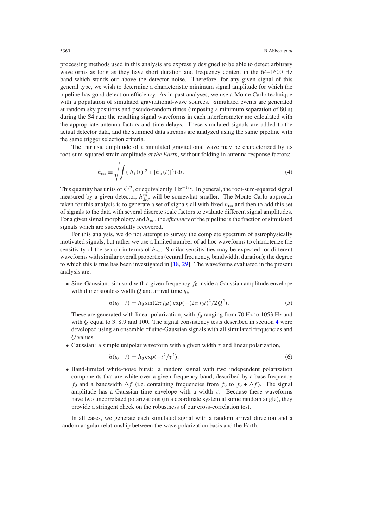processing methods used in this analysis are expressly designed to be able to detect arbitrary waveforms as long as they have short duration and frequency content in the 64–1600 Hz band which stands out above the detector noise. Therefore, for any given signal of this general type, we wish to determine a characteristic minimum signal amplitude for which the pipeline has good detection efficiency. As in past analyses, we use a Monte Carlo technique with a population of simulated gravitational-wave sources. Simulated events are generated at random sky positions and pseudo-random times (imposing a minimum separation of 80 s) during the S4 run; the resulting signal waveforms in each interferometer are calculated with the appropriate antenna factors and time delays. These simulated signals are added to the actual detector data, and the summed data streams are analyzed using the same pipeline with the same trigger selection criteria.

The intrinsic amplitude of a simulated gravitational wave may be characterized by its root-sum-squared strain amplitude *at the Earth*, without folding in antenna response factors:

$$
h_{\rm rss} \equiv \sqrt{\int (|h_{+}(t)|^2 + |h_{\times}(t)|^2) dt}.
$$
\n(4)

This quantity has units of s<sup>1/2</sup>, or equivalently Hz<sup>-1/2</sup>. In general, the root-sum-squared signal measured by a given detector,  $h_{\text{det}}^{\text{rss}}$ , will be somewhat smaller. The Monte Carlo approach taken for this analysis is to generate a set of signals all with fixed *h*rss and then to add this set of signals to the data with several discrete scale factors to evaluate different signal amplitudes. For a given signal morphology and *h*rss, the *efficiency* of the pipeline is the fraction of simulated signals which are successfully recovered.

For this analysis, we do not attempt to survey the complete spectrum of astrophysically motivated signals, but rather we use a limited number of ad hoc waveforms to characterize the sensitivity of the search in terms of *h*rss. Similar sensitivities may be expected for different waveforms with similar overall properties (central frequency, bandwidth, duration); the degree to which this is true has been investigated in [\[18,](#page-26-0) [29](#page-27-0)]. The waveforms evaluated in the present analysis are:

• Sine-Gaussian: sinusoid with a given frequency  $f_0$  inside a Gaussian amplitude envelope with dimensionless width  $Q$  and arrival time  $t_0$ ,

$$
h(t_0 + t) = h_0 \sin(2\pi f_0 t) \exp(-(2\pi f_0 t)^2 / 2Q^2).
$$
 (5)

These are generated with linear polarization, with  $f_0$  ranging from 70 Hz to 1053 Hz and with *Q* equal to 3, 8.9 and 100. The signal consistency tests described in section [4](#page-9-0) were developed using an ensemble of sine-Gaussian signals with all simulated frequencies and *Q* values.

• Gaussian: a simple unipolar waveform with a given width  $\tau$  and linear polarization,

$$
h(t_0 + t) = h_0 \exp(-t^2/\tau^2). \tag{6}
$$

• Band-limited white-noise burst: a random signal with two independent polarization components that are white over a given frequency band, described by a base frequency *f*<sub>0</sub> and a bandwidth  $\Delta f$  (i.e. containing frequencies from *f*<sub>0</sub> to *f*<sub>0</sub> +  $\Delta f$ ). The signal amplitude has a Gaussian time envelope with a width  $\tau$ . Because these waveforms have two uncorrelated polarizations (in a coordinate system at some random angle), they provide a stringent check on the robustness of our cross-correlation test.

In all cases, we generate each simulated signal with a random arrival direction and a random angular relationship between the wave polarization basis and the Earth.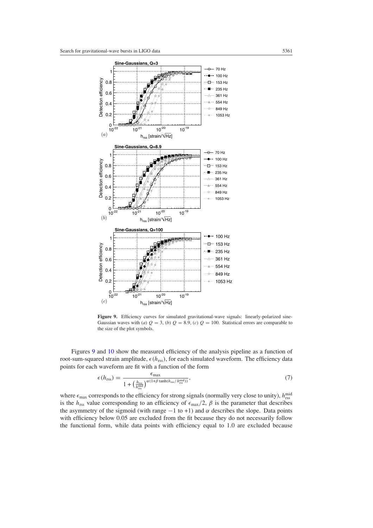<span id="page-19-0"></span>

Figure 9. Efficiency curves for simulated gravitational-wave signals: linearly-polarized sine-Gaussian waves with (*a*)  $Q = 3$ , (*b*)  $Q = 8.9$ , (*c*)  $Q = 100$ . Statistical errors are comparable to the size of the plot symbols.

Figures 9 and [10](#page-20-0) show the measured efficiency of the analysis pipeline as a function of root-sum-squared strain amplitude,  $\epsilon(h_{\text{rss}})$ , for each simulated waveform. The efficiency data points for each waveform are fit with a function of the form

$$
\epsilon(h_{\text{rss}}) = \frac{\epsilon_{\text{max}}}{1 + \left(\frac{h_{\text{rss}}}{h_{\text{rms}}^{\text{mid}}}\right)^{\alpha(1+\beta \tanh(h_{\text{rss}}/h_{\text{rss}}^{\text{mid}}))}},\tag{7}
$$

where  $\epsilon_{\text{max}}$  corresponds to the efficiency for strong signals (normally very close to unity),  $h_{\text{rss}}^{\text{mid}}$ is the  $h_{\text{rss}}$  value corresponding to an efficiency of  $\epsilon_{\text{max}}/2$ ,  $\beta$  is the parameter that describes the asymmetry of the sigmoid (with range  $-1$  to +1) and  $\alpha$  describes the slope. Data points with efficiency below 0.05 are excluded from the fit because they do not necessarily follow the functional form, while data points with efficiency equal to 1*.*0 are excluded because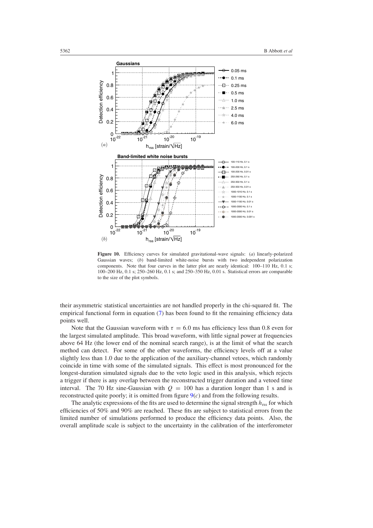<span id="page-20-0"></span>

**Figure 10.** Efficiency curves for simulated gravitational-wave signals: (*a*) linearly-polarized Gaussian waves; (*b*) band-limited white-noise bursts with two independent polarization components. Note that four curves in the latter plot are nearly identical: 100–110 Hz, 0*.*1 s; 100–200 Hz, 0*.*1 s; 250–260 Hz, 0*.*1 s; and 250–350 Hz, 0*.*01 s. Statistical errors are comparable to the size of the plot symbols.

their asymmetric statistical uncertainties are not handled properly in the chi-squared fit. The empirical functional form in equation [\(7\)](#page-19-0) has been found to fit the remaining efficiency data points well.

Note that the Gaussian waveform with  $\tau = 6.0$  ms has efficiency less than 0.8 even for the largest simulated amplitude. This broad waveform, with little signal power at frequencies above 64 Hz (the lower end of the nominal search range), is at the limit of what the search method can detect. For some of the other waveforms, the efficiency levels off at a value slightly less than 1*.*0 due to the application of the auxiliary-channel vetoes, which randomly coincide in time with some of the simulated signals. This effect is most pronounced for the longest-duration simulated signals due to the veto logic used in this analysis, which rejects a trigger if there is any overlap between the reconstructed trigger duration and a vetoed time interval. The 70 Hz sine-Gaussian with  $Q = 100$  has a duration longer than 1 s and is reconstructed quite poorly; it is omitted from figure  $9(c)$  $9(c)$  and from the following results.

The analytic expressions of the fits are used to determine the signal strength  $h_{\text{rss}}$  for which efficiencies of 50% and 90% are reached. These fits are subject to statistical errors from the limited number of simulations performed to produce the efficiency data points. Also, the overall amplitude scale is subject to the uncertainty in the calibration of the interferometer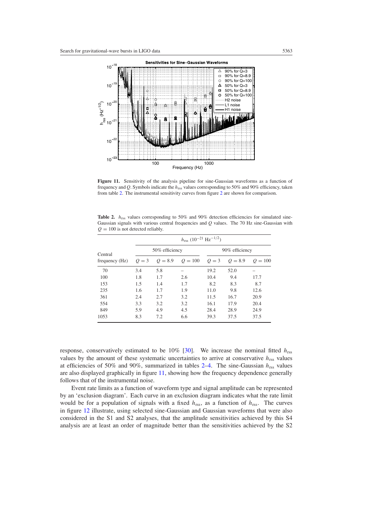<span id="page-21-0"></span>

Figure 11. Sensitivity of the analysis pipeline for sine-Gaussian waveforms as a function of frequency and *Q*. Symbols indicate the *h*rss values corresponding to 50% and 90% efficiency, taken from table 2. The instrumental sensitivity curves from figure [2](#page-7-0) are shown for comparison.

Table 2. *h*<sub>rss</sub> values corresponding to 50% and 90% detection efficiencies for simulated sine-Gaussian signals with various central frequencies and *Q* values. The 70 Hz sine-Gaussian with  $Q = 100$  is not detected reliably.

|                | $h_{\text{rss}}$ (10 <sup>-21</sup> Hz <sup>-1/2</sup> ) |           |           |                |           |           |
|----------------|----------------------------------------------------------|-----------|-----------|----------------|-----------|-----------|
| Central        | 50% efficiency                                           |           |           | 90% efficiency |           |           |
| frequency (Hz) | $Q = 3$                                                  | $Q = 8.9$ | $Q = 100$ | $Q = 3$        | $Q = 8.9$ | $Q = 100$ |
| 70             | 3.4                                                      | 5.8       |           | 19.2           | 52.0      |           |
| 100            | 1.8                                                      | 1.7       | 2.6       | 10.4           | 9.4       | 17.7      |
| 153            | 1.5                                                      | 1.4       | 1.7       | 8.2            | 8.3       | 8.7       |
| 235            | 1.6                                                      | 1.7       | 1.9       | 11.0           | 9.8       | 12.6      |
| 361            | 2.4                                                      | 2.7       | 3.2       | 11.5           | 16.7      | 20.9      |
| 554            | 3.3                                                      | 3.2       | 3.2       | 16.1           | 17.9      | 20.4      |
| 849            | 5.9                                                      | 4.9       | 4.5       | 28.4           | 28.9      | 24.9      |
| 1053           | 8.3                                                      | 7.2       | 6.6       | 39.3           | 37.5      | 37.5      |

response, conservatively estimated to be  $10\%$  [\[30\]](#page-27-0). We increase the nominal fitted  $h_{\text{rss}}$ values by the amount of these systematic uncertainties to arrive at conservative *h*rss values at efficiencies of 50% and 90%, summarized in tables 2[–4.](#page-22-0) The sine-Gaussian *h*rss values are also displayed graphically in figure 11, showing how the frequency dependence generally follows that of the instrumental noise.

Event rate limits as a function of waveform type and signal amplitude can be represented by an 'exclusion diagram'. Each curve in an exclusion diagram indicates what the rate limit would be for a population of signals with a fixed  $h_{\text{rss}}$ , as a function of  $h_{\text{rss}}$ . The curves in figure [12](#page-23-0) illustrate, using selected sine-Gaussian and Gaussian waveforms that were also considered in the S1 and S2 analyses, that the amplitude sensitivities achieved by this S4 analysis are at least an order of magnitude better than the sensitivities achieved by the S2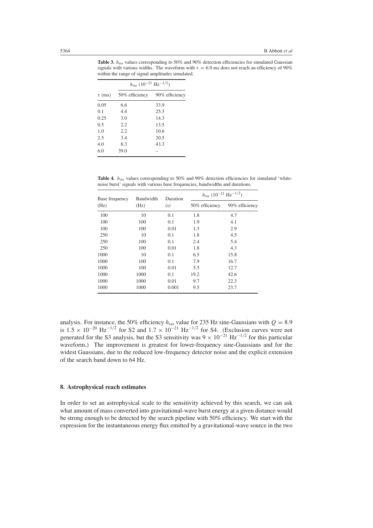<span id="page-22-0"></span>Table 3.  $h_{\text{rss}}$  values corresponding to 50% and 90% detection efficiencies for simulated Gaussian signals with various widths. The waveform with  $\tau = 6.0$  ms does not reach an efficiency of 90% within the range of signal amplitudes simulated.

|             | $h_{\text{rss}}$ (10 <sup>-21</sup> Hz <sup>-1/2</sup> ) |                |  |
|-------------|----------------------------------------------------------|----------------|--|
| $\tau$ (ms) | 50% efficiency                                           | 90% efficiency |  |
| 0.05        | 6.6                                                      | 33.9           |  |
| 0.1         | 4.4                                                      | 25.3           |  |
| 0.25        | 3.0                                                      | 14.3           |  |
| 0.5         | 2.2                                                      | 13.5           |  |
| 1.0         | 2.2                                                      | 10.6           |  |
| 2.5         | 3.4                                                      | 20.5           |  |
| 4.0         | 8.3                                                      | 43.3           |  |
| 6.0         | 39.0                                                     |                |  |

Table 4.  $h_{\text{rss}}$  values corresponding to 50% and 90% detection efficiencies for simulated 'whitenoise burst' signals with various base frequencies, bandwidths and durations.

| Base frequency<br>(Hz) | Bandwidth<br>(Hz) | Duration | $h_{\text{rss}}$ (10 <sup>-21</sup> Hz <sup>-1/2</sup> ) |                |  |
|------------------------|-------------------|----------|----------------------------------------------------------|----------------|--|
|                        |                   | (s)      | 50% efficiency                                           | 90% efficiency |  |
| 100                    | 10                | 0.1      | 1.8                                                      | 4.7            |  |
| 100                    | 100               | 0.1      | 1.9                                                      | 4.1            |  |
| 100                    | 100               | 0.01     | 1.3                                                      | 2.9            |  |
| 250                    | 10                | 0.1      | 1.8                                                      | 4.5            |  |
| 250                    | 100               | 0.1      | 2.4                                                      | 5.4            |  |
| 250                    | 100               | 0.01     | 1.8                                                      | 4.3            |  |
| 1000                   | 10                | 0.1      | 6.5                                                      | 15.8           |  |
| 1000                   | 100               | 0.1      | 7.9                                                      | 16.7           |  |
| 1000                   | 100               | 0.01     | 5.5                                                      | 12.7           |  |
| 1000                   | 1000              | 0.1      | 19.2                                                     | 42.6           |  |
| 1000                   | 1000              | 0.01     | 9.7                                                      | 22.3           |  |
| 1000                   | 1000              | 0.001    | 9.5                                                      | 23.7           |  |

analysis. For instance, the 50% efficiency  $h_{\text{rss}}$  value for 235 Hz sine-Gaussians with  $Q = 8.9$ is  $1.5 \times 10^{-20}$  Hz<sup>-1/2</sup> for S2 and  $1.7 \times 10^{-21}$  Hz<sup>-1/2</sup> for S4. (Exclusion curves were not generated for the S3 analysis, but the S3 sensitivity was  $9 \times 10^{-21}$  Hz<sup>-1/2</sup> for this particular waveform.) The improvement is greatest for lower-frequency sine-Gaussians and for the widest Gaussians, due to the reduced low-frequency detector noise and the explicit extension of the search band down to 64 Hz.

# **8. Astrophysical reach estimates**

In order to set an astrophysical scale to the sensitivity achieved by this search, we can ask what amount of mass converted into gravitational-wave burst energy at a given distance would be strong enough to be detected by the search pipeline with 50% efficiency. We start with the expression for the instantaneous energy flux emitted by a gravitational-wave source in the two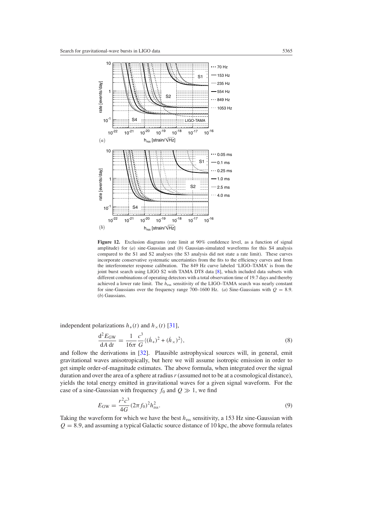<span id="page-23-0"></span>

Figure 12. Exclusion diagrams (rate limit at 90% confidence level, as a function of signal amplitude) for (*a*) sine-Gaussian and (*b*) Gaussian-simulated waveforms for this S4 analysis compared to the S1 and S2 analyses (the S3 analysis did not state a rate limit). These curves incorporate conservative systematic uncertainties from the fits to the efficiency curves and from the interferometer response calibration. The 849 Hz curve labeled 'LIGO–TAMA' is from the joint burst search using LIGO S2 with TAMA DT8 data [\[8](#page-26-0)], which included data subsets with different combinations of operating detectors with a total observation time of 19*.*7 days and thereby achieved a lower rate limit. The *h*rss sensitivity of the LIGO–TAMA search was nearly constant for sine-Gaussians over the frequency range 700–1600 Hz. (*a*) Sine-Gaussians with *Q* = 8*.*9. (*b*) Gaussians.

independent polarizations  $h_+(t)$  and  $h_{\times}(t)$  [\[31\]](#page-27-0),

$$
\frac{d^2 E_{\rm GW}}{dA dt} = \frac{1}{16\pi} \frac{c^3}{G} \langle (h_+)^2 + (h_\times)^2 \rangle, \tag{8}
$$

and follow the derivations in [\[32](#page-27-0)]. Plausible astrophysical sources will, in general, emit gravitational waves anisotropically, but here we will assume isotropic emission in order to get simple order-of-magnitude estimates. The above formula, when integrated over the signal duration and over the area of a sphere at radius r (assumed not to be at a cosmological distance), yields the total energy emitted in gravitational waves for a given signal waveform. For the case of a sine-Gaussian with frequency  $f_0$  and  $Q \gg 1$ , we find

$$
E_{\rm GW} = \frac{r^2 c^3}{4G} (2\pi f_0)^2 h_{\rm rss}^2.
$$
 (9)

Taking the waveform for which we have the best  $h_{\text{rss}}$  sensitivity, a 153 Hz sine-Gaussian with *Q* = 8*.*9, and assuming a typical Galactic source distance of 10 kpc, the above formula relates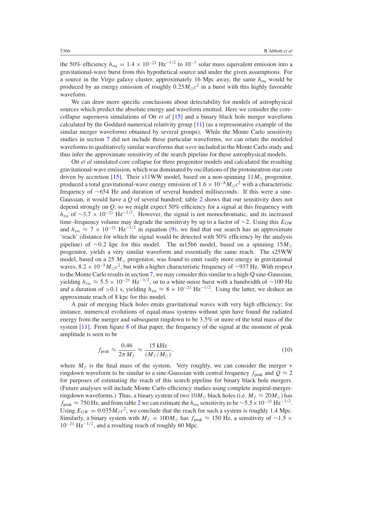the 50% efficiency  $h_{\text{rss}} = 1.4 \times 10^{-21} \text{ Hz}^{-1/2}$  to 10<sup>-7</sup> solar mass equivalent emission into a gravitational-wave burst from this hypothetical source and under the given assumptions. For a source in the Virgo galaxy cluster, approximately 16 Mpc away, the same  $h_{\text{rss}}$  would be produced by an energy emission of roughly  $0.25M_{\odot}c^2$  in a burst with this highly favorable waveform.

We can draw more specific conclusions about detectability for models of astrophysical sources which predict the absolute energy and waveform emitted. Here we consider the corecollapse supernova simulations of Ott *et al* [\[15](#page-26-0)] and a binary black hole merger waveform calculated by the Goddard numerical relativity group [\[11\]](#page-26-0) (as a representative example of the similar merger waveforms obtained by several groups). While the Monte Carlo sensitivity studies in section [7](#page-17-0) did not include these particular waveforms, we can relate the modeled waveforms to qualitatively similar waveforms that *were* included in the Monte Carlo study and thus infer the approximate sensitivity of the search pipeline for these astrophysical models.

Ott *et al* simulated core collapse for three progenitor models and calculated the resulting gravitational-wave emission, which was dominated by oscillations of the protoneutron star core driven by accretion [\[15](#page-26-0)]. Their s11WW model, based on a non-spinning  $11M_{\odot}$  progenitor, produced a total gravitational-wave energy emission of  $1.6 \times 10^{-8} M_{\odot} c^2$  with a characteristic frequency of ∼654 Hz and duration of several hundred milliseconds. If this were a sine-Gaussian, it would have a *Q* of several hundred; table [2](#page-21-0) shows that our sensitivity does not depend strongly on *Q*, so we might expect 50% efficiency for a signal at this frequency with  $h_{\text{rss}}$  of ~3.7 × 10<sup>-21</sup> Hz<sup>-1/2</sup>. However, the signal is not monochromatic, and its increased time–frequency volume may degrade the sensitivity by up to a factor of  $\sim$ 2. Using this  $E_{GW}$ and  $h_{\text{rss}} \approx 7 \times 10^{-21} \text{ Hz}^{-1/2}$  in equation [\(9\)](#page-23-0), we find that our search has an approximate 'reach' (distance for which the signal would be detected with 50% efficiency by the analysis pipeline) of ∼0*.*2 kpc for this model. The m15b6 model, based on a spinning 15*M* progenitor, yields a very similar waveform and essentially the same reach. The s25WW model, based on a 25  $M_{\odot}$  progenitor, was found to emit vastly more energy in gravitational waves, 8*.*2 × 10<sup>−</sup>5*Mc*2, but with a higher characteristic frequency of ∼937 Hz. With respect to the Monte Carlo results in section [7,](#page-17-0) we may consider this similar to a high-Q sine-Gaussian, yielding  $h_{\text{rss}} \approx 5.5 \times 10^{-21} \text{ Hz}^{-1/2}$ , or to a white-noise burst with a bandwidth of ~100 Hz and a duration of >0.1 s, yielding  $h_{\text{rss}} \approx 8 \times 10^{-21} \text{ Hz}^{-1/2}$ . Using the latter, we deduce an approximate reach of 8 kpc for this model.

A pair of merging black holes emits gravitational waves with very high efficiency; for instance, numerical evolutions of equal-mass systems without spin have found the radiated energy from the merger and subsequent ringdown to be 3*.*5% or more of the total mass of the system [\[11\]](#page-26-0). From figure [8](#page-17-0) of that paper, the frequency of the signal at the moment of peak amplitude is seen to be

$$
f_{\text{peak}} \approx \frac{0.46}{2\pi M_f} \approx \frac{15 \text{ kHz}}{(M_f/M_\odot)},\tag{10}
$$

where  $M_f$  is the final mass of the system. Very roughly, we can consider the merger + ringdown waveform to be similar to a sine-Gaussian with central frequency  $f_{\text{peak}}$  and  $Q \approx 2$ for purposes of estimating the reach of this search pipeline for binary black hole mergers. (Future analyses will include Monte Carlo efficiency studies using complete inspiral-mergerringdown waveforms.) Thus, a binary system of two  $10M_{\odot}$  black holes (i.e.  $M_f \approx 20M_{\odot}$ ) has  $f_{\rm peak} \approx 750$  Hz, and from table [2](#page-21-0) we can estimate the  $h_{\rm rss}$  sensitivity to be  $\sim 5.5 \times 10^{-21}$  Hz<sup>-1/2</sup>. Using  $E_{GW} = 0.035 M_f c^2$ , we conclude that the reach for such a system is roughly 1.4 Mpc. Similarly, a binary system with  $M_f = 100 M_\odot$  has  $f_{\text{peak}} \approx 150 \text{ Hz}$ , a sensitivity of ~1.5 × 10<sup>−</sup><sup>21</sup> Hz<sup>−</sup>1*/*<sup>2</sup> , and a resulting reach of roughly 60 Mpc.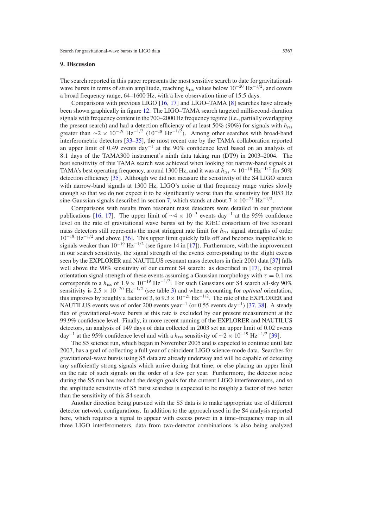# **9. Discussion**

The search reported in this paper represents the most sensitive search to date for gravitationalwave bursts in terms of strain amplitude, reaching  $h_{\text{rss}}$  values below 10<sup>-20</sup> Hz<sup>-1/2</sup>, and covers a broad frequency range, 64–1600 Hz, with a live observation time of 15*.*5 days.

Comparisons with previous LIGO [\[16](#page-26-0), [17\]](#page-26-0) and LIGO–TAMA [\[8](#page-26-0)] searches have already been shown graphically in figure [12.](#page-23-0) The LIGO–TAMA search targeted millisecond-duration signals with frequency content in the 700–2000 Hz frequency regime (i.e., partially overlapping the present search) and had a detection efficiency of at least 50% (90%) for signals with *h*rss greater than  $\sim$ 2 × 10<sup>-19</sup> Hz<sup>-1/2</sup> (10<sup>-18</sup> Hz<sup>-1/2</sup>). Among other searches with broad-band interferometric detectors [\[33–35](#page-27-0)], the most recent one by the TAMA collaboration reported an upper limit of 0*.*49 events day<sup>−</sup><sup>1</sup> at the 90% confidence level based on an analysis of 8*.*1 days of the TAMA300 instrument's ninth data taking run (DT9) in 2003–2004. The best sensitivity of this TAMA search was achieved when looking for narrow-band signals at TAMA's best operating frequency, around 1300 Hz, and it was at  $h_{res} \approx 10^{-18}$  Hz<sup>-1/2</sup> for 50% detection efficiency [\[35](#page-27-0)]. Although we did not measure the sensitivity of the S4 LIGO search with narrow-band signals at 1300 Hz, LIGO's noise at that frequency range varies slowly enough so that we do not expect it to be significantly worse than the sensitivity for 1053 Hz sine-Gaussian signals described in section [7,](#page-17-0) which stands at about  $7 \times 10^{-21}$  Hz<sup>-1/2</sup>.

Comparisons with results from resonant mass detectors were detailed in our previous publications [\[16](#page-26-0), [17\]](#page-26-0). The upper limit of  $\sim$ 4 × 10<sup>-3</sup> events day<sup>-1</sup> at the 95% confidence level on the rate of gravitational wave bursts set by the IGEC consortium of five resonant mass detectors still represents the most stringent rate limit for  $h_{\text{rss}}$  signal strengths of order 10<sup>−</sup><sup>18</sup> Hz<sup>−</sup>1*/*<sup>2</sup> and above [\[36\]](#page-27-0). This upper limit quickly falls off and becomes inapplicable to signals weaker than  $10^{-19}$  Hz<sup>-1/2</sup> (see figure 14 in [\[17\]](#page-26-0)). Furthermore, with the improvement in our search sensitivity, the signal strength of the events corresponding to the slight excess seen by the EXPLORER and NAUTILUS resonant mass detectors in their 2001 data [\[37](#page-27-0)] falls well above the 90% sensitivity of our current S4 search: as described in [\[17\]](#page-26-0), the optimal orientation signal strength of these events assuming a Gaussian morphology with  $\tau = 0.1$  ms corresponds to a  $h_{\text{rss}}$  of  $1.9 \times 10^{-19} \text{ Hz}^{-1/2}$ . For such Gaussians our S4 search all-sky 90% sensitivity is  $2.5 \times 10^{-20}$  Hz<sup>-1/2</sup> (see table [3\)](#page-22-0) and when accounting for *optimal* orientation, this improves by roughly a factor of 3, to  $9.3 \times 10^{-21}$  Hz<sup>-1/2</sup>. The rate of the EXPLORER and NAUTILUS events was of order 200 events year<sup>-1</sup> (or 0.55 events day<sup>-1</sup>) [\[37,](#page-27-0) [38\]](#page-27-0). A steady flux of gravitational-wave bursts at this rate is excluded by our present measurement at the 99.9% confidence level. Finally, in more recent running of the EXPLORER and NAUTILUS detectors, an analysis of 149 days of data collected in 2003 set an upper limit of 0*.*02 events day<sup>-1</sup> at the 95% confidence level and with a  $h_{\text{rss}}$  sensitivity of  $\sim$ 2 × 10<sup>-19</sup> Hz<sup>-1/2</sup> [\[39\]](#page-27-0).

The S5 science run, which began in November 2005 and is expected to continue until late 2007, has a goal of collecting a full year of coincident LIGO science-mode data. Searches for gravitational-wave bursts using S5 data are already underway and will be capable of detecting any sufficiently strong signals which arrive during that time, or else placing an upper limit on the rate of such signals on the order of a few per year. Furthermore, the detector noise during the S5 run has reached the design goals for the current LIGO interferometers, and so the amplitude sensitivity of S5 burst searches is expected to be roughly a factor of two better than the sensitivity of this S4 search.

Another direction being pursued with the S5 data is to make appropriate use of different detector network configurations. In addition to the approach used in the S4 analysis reported here, which requires a signal to appear with excess power in a time–frequency map in all three LIGO interferometers, data from two-detector combinations is also being analyzed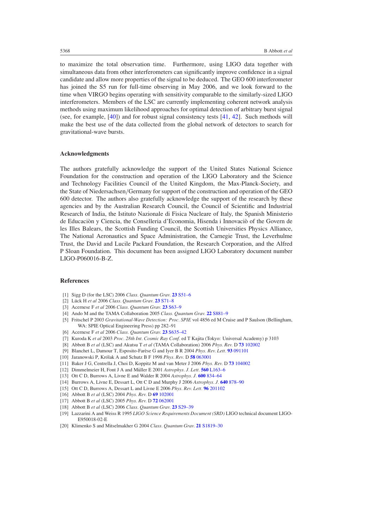<span id="page-26-0"></span>to maximize the total observation time. Furthermore, using LIGO data together with simultaneous data from other interferometers can significantly improve confidence in a signal candidate and allow more properties of the signal to be deduced. The GEO 600 interferometer has joined the S5 run for full-time observing in May 2006, and we look forward to the time when VIRGO begins operating with sensitivity comparable to the similarly-sized LIGO interferometers. Members of the LSC are currently implementing coherent network analysis methods using maximum likelihood approaches for optimal detection of arbitrary burst signal (see, for example, [\[40\]](#page-27-0)) and for robust signal consistency tests [\[41,](#page-27-0) [42](#page-27-0)]. Such methods will make the best use of the data collected from the global network of detectors to search for gravitational-wave bursts.

#### **Acknowledgments**

The authors gratefully acknowledge the support of the United States National Science Foundation for the construction and operation of the LIGO Laboratory and the Science and Technology Facilities Council of the United Kingdom, the Max-Planck-Society, and the State of Niedersachsen*/*Germany for support of the construction and operation of the GEO 600 detector. The authors also gratefully acknowledge the support of the research by these agencies and by the Australian Research Council, the Council of Scientific and Industrial Research of India, the Istituto Nazionale di Fisica Nucleare of Italy, the Spanish Ministerio de Educación y Ciencia, the Conselleria d'Economia, Hisenda i Innovació of the Govern de les Illes Balears, the Scottish Funding Council, the Scottish Universities Physics Alliance, The National Aeronautics and Space Administration, the Carnegie Trust, the Leverhulme Trust, the David and Lucile Packard Foundation, the Research Corporation, and the Alfred P Sloan Foundation. This document has been assigned LIGO Laboratory document number LIGO-P060016-B-Z.

#### **References**

- [1] Sigg D (for the LSC) 2006 *Class. Quantum Grav.* **23** [S51–6](http://dx.doi.org/10.1088/0264-9381/23/8/S07)
- [2] Lück H et al 2006 Class. Quantum Grav. 23 S71-8
- [3] Acernese F *et al* 2006 *Class. Quantum Grav.* **23** [S63–9](http://dx.doi.org/10.1088/0264-9381/23/8/S09)
- [4] Ando M and the TAMA Collaboration 2005 *Class. Quantum Grav.* **22** [S881–9](http://dx.doi.org/10.1088/0264-9381/22/18/S02)
- [5] Fritschel P 2003 *Gravitational-Wave Detection: Proc. SPIE* vol 4856 ed M Cruise and P Saulson (Bellingham, WA: SPIE Optical Engineering Press) pp 282–91
- [6] Acernese F *et al* 2006 *Class. Quantum Grav.* **23** [S635–42](http://dx.doi.org/10.1088/0264-9381/23/19/S01)
- [7] Kuroda K *et al* 2003 *Proc. 28th Int. Cosmic Ray Conf.* ed T Kajita (Tokyo: Universal Academy) p 3103
- [8] Abbott B *et al* (LSC) and Akutsu T *et al* (TAMA Collaboration) 2006 *Phys. Rev.* D **73** [102002](http://dx.doi.org/10.1103/PhysRevD.73.102002)
- [9] Blanchet L, Damour T, Esposito-Farese G and Iyer B R 2004 ` *Phys. Rev. Lett.* **93** [091101](http://dx.doi.org/10.1103/PhysRevLett.93.091101)
- [10] Jaranowski P, Królak A and Schutz B F 1998 Phys. Rev. D 58 [063001](http://dx.doi.org/10.1103/PhysRevD.58.063001)
- [11] Baker J G, Centrella J, Choi D, Koppitz M and van Meter J 2006 *Phys. Rev.* D **73** [104002](http://dx.doi.org/10.1103/PhysRevD.73.104002)
- [12] Dimmelmeier H, Font J A and Müller E 2001 *Astrophys. J. Lett.* **560** [L163–6](http://dx.doi.org/10.1086/324406)
- [13] Ott C D, Burrows A, Livne E and Walder R 2004 *Astrophys. J.* **600** [834–64](http://dx.doi.org/10.1086/379822)
- [14] Burrows A, Livne E, Dessart L, Ott C D and Murphy J 2006 *Astrophys. J.* **640** [878–90](http://dx.doi.org/10.1086/500174)
- [15] Ott C D, Burrows A, Dessart L and Livne E 2006 *Phys. Rev. Lett.* **96** [201102](http://dx.doi.org/10.1103/PhysRevLett.96.201102)
- [16] Abbott B *et al* (LSC) 2004 *Phys. Rev.* D **69** [102001](http://dx.doi.org/10.1103/PhysRevD.69.102001)
- [17] Abbott B *et al* (LSC) 2005 *Phys. Rev.* D **72** [062001](http://dx.doi.org/10.1103/PhysRevD.72.062001)
- [18] Abbott B *et al* (LSC) 2006 *Class. Quantum Grav.* **23** [S29–39](http://dx.doi.org/10.1088/0264-9381/23/8/S05)
- [19] Lazzarini A and Weiss R 1995 *LIGO Science Requirements Document (SRD)* LIGO technical document LIGO-E950018-02-E
- [20] Klimenko S and Mitselmakher G 2004 *Class. Quantum Grav.* **21** [S1819–30](http://dx.doi.org/10.1088/0264-9381/21/20/025)